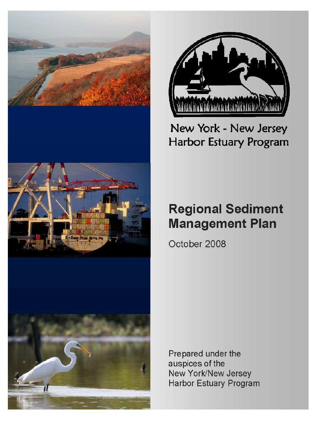



## New York - New Jersey Harbor Estuary Program

# **Regional Sediment Management Plan**

October 2008

Prepared under the auspices of the New York/New Jersey Harbor Estuary Program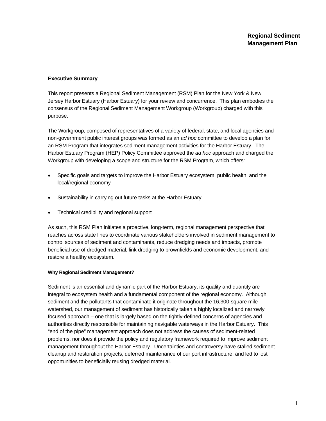#### **Executive Summary**

This report presents a Regional Sediment Management (RSM) Plan for the New York & New Jersey Harbor Estuary (Harbor Estuary) for your review and concurrence. This plan embodies the consensus of the Regional Sediment Management Workgroup (Workgroup) charged with this purpose.

The Workgroup, composed of representatives of a variety of federal, state, and local agencies and non-government public interest groups was formed as an *ad hoc* committee to develop a plan for an RSM Program that integrates sediment management activities for the Harbor Estuary. The Harbor Estuary Program (HEP) Policy Committee approved the *ad hoc* approach and charged the Workgroup with developing a scope and structure for the RSM Program, which offers:

- Specific goals and targets to improve the Harbor Estuary ecosystem, public health, and the local/regional economy
- Sustainability in carrying out future tasks at the Harbor Estuary
- Technical credibility and regional support

As such, this RSM Plan initiates a proactive, long-term, regional management perspective that reaches across state lines to coordinate various stakeholders involved in sediment management to control sources of sediment and contaminants, reduce dredging needs and impacts, promote beneficial use of dredged material, link dredging to brownfields and economic development, and restore a healthy ecosystem.

#### **Why Regional Sediment Management?**

Sediment is an essential and dynamic part of the Harbor Estuary; its quality and quantity are integral to ecosystem health and a fundamental component of the regional economy. Although sediment and the pollutants that contaminate it originate throughout the 16,300-square mile watershed, our management of sediment has historically taken a highly localized and narrowly focused approach – one that is largely based on the tightly-defined concerns of agencies and authorities directly responsible for maintaining navigable waterways in the Harbor Estuary. This "end of the pipe" management approach does not address the causes of sediment-related problems, nor does it provide the policy and regulatory framework required to improve sediment management throughout the Harbor Estuary. Uncertainties and controversy have stalled sediment cleanup and restoration projects, deferred maintenance of our port infrastructure, and led to lost opportunities to beneficially reusing dredged material.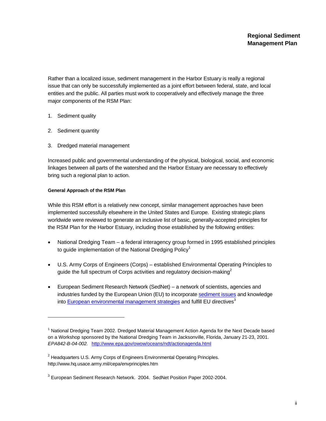Rather than a localized issue, sediment management in the Harbor Estuary is really a regional issue that can only be successfully implemented as a joint effort between federal, state, and local entities and the public. All parties must work to cooperatively and effectively manage the three major components of the RSM Plan:

- 1. Sediment quality
- 2. Sediment quantity

l

3. Dredged material management

Increased public and governmental understanding of the physical, biological, social, and economic linkages between all parts of the watershed and the Harbor Estuary are necessary to effectively bring such a regional plan to action.

#### **General Approach of the RSM Plan**

While this RSM effort is a relatively new concept, similar management approaches have been implemented successfully elsewhere in the United States and Europe. Existing strategic plans worldwide were reviewed to generate an inclusive list of basic, generally-accepted principles for the RSM Plan for the Harbor Estuary, including those established by the following entities:

- National Dredging Team a federal interagency group formed in 1995 established principles to guide implementation of the National Dredging Policy<sup>1</sup>
- U.S. Army Corps of Engineers (Corps) established Environmental Operating Principles to guide the full spectrum of Corps activities and regulatory decision-making<sup>2</sup>
- European Sediment Research Network (SedNet) a network of scientists, agencies and industries funded by the European Union (EU) to incorporate sediment issues and knowledge into European environmental management strategies and fulfill EU directives $3$

<sup>&</sup>lt;sup>1</sup> National Dredging Team 2002. Dredged Material Management Action Agenda for the Next Decade based on a Workshop sponsored by the National Dredging Team in Jacksonville, Florida, January 21-23, 2001. *EPA842-B-04-002.* http://www.epa.gov/owow/oceans/ndt/actionagenda.html

<sup>&</sup>lt;sup>2</sup> Headquarters U.S. Army Corps of Engineers Environmental Operating Principles. http://www.hq.usace.army.mil/cepa/envprinciples.htm

 $3$  European Sediment Research Network. 2004. SedNet Position Paper 2002-2004.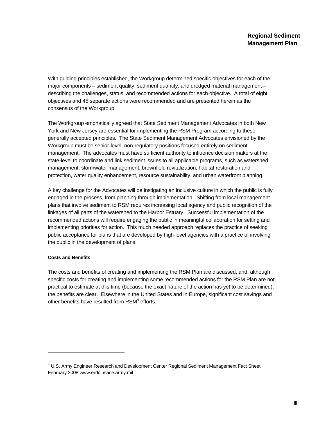With guiding principles established, the Workgroup determined specific objectives for each of the major components – sediment quality, sediment quantity, and dredged material management – describing the challenges, status, and recommended actions for each objective. A total of eight objectives and 45 separate actions were recommended and are presented herein as the consensus of the Workgroup.

The Workgroup emphatically agreed that State Sediment Management Advocates in both New York and New Jersey are essential for implementing the RSM Program according to these generally accepted principles. The State Sediment Management Advocates envisioned by the Workgroup must be senior-level, non-regulatory positions focused entirely on sediment management. The advocates must have sufficient authority to influence decision makers at the state-level to coordinate and link sediment issues to all applicable programs, such as watershed management, stormwater management, brownfield revitalization, habitat restoration and protection, water quality enhancement, resource sustainability, and urban waterfront planning.

A key challenge for the Advocates will be instigating an inclusive culture in which the public is fully engaged in the process, from planning through implementation. Shifting from local management plans that involve sediment to RSM requires increasing local agency and public recognition of the linkages of all parts of the watershed to the Harbor Estuary. Successful implementation of the recommended actions will require engaging the public in meaningful collaboration for setting and implementing priorities for action. This much needed approach replaces the practice of seeking public acceptance for plans that are developed by high-level agencies with a practice of involving the public in the development of plans.

#### **Costs and Benefits**

l

The costs and benefits of creating and implementing the RSM Plan are discussed, and, although specific costs for creating and implementing some recommended actions for the RSM Plan are not practical to estimate at this time (because the exact nature of the action has yet to be determined), the benefits are clear. Elsewhere in the United States and in Europe, significant cost savings and other benefits have resulted from  $\textsf{RSM}^4$  efforts.

<sup>&</sup>lt;sup>4</sup> U.S. Army Engineer Research and Development Center Regional Sediment Management Fact Sheet February 2008 www.erdc.usace.army.mil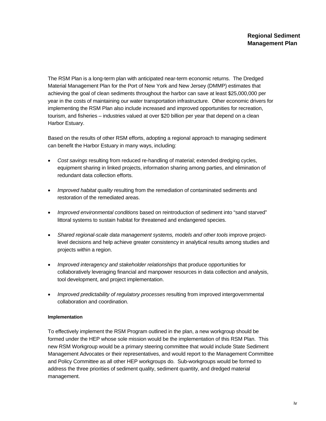The RSM Plan is a long-term plan with anticipated near-term economic returns. The Dredged Material Management Plan for the Port of New York and New Jersey (DMMP) estimates that achieving the goal of clean sediments throughout the harbor can save at least \$25,000,000 per year in the costs of maintaining our water transportation infrastructure. Other economic drivers for implementing the RSM Plan also include increased and improved opportunities for recreation, tourism, and fisheries – industries valued at over \$20 billion per year that depend on a clean Harbor Estuary.

Based on the results of other RSM efforts, adopting a regional approach to managing sediment can benefit the Harbor Estuary in many ways, including:

- *Cost savings* resulting from reduced re-handling of material; extended dredging cycles, equipment sharing in linked projects, information sharing among parties, and elimination of redundant data collection efforts.
- *Improved habitat quality* resulting from the remediation of contaminated sediments and restoration of the remediated areas.
- *Improved environmental conditions* based on reintroduction of sediment into "sand starved" littoral systems to sustain habitat for threatened and endangered species.
- *Shared regional-scale data management systems, models and other tools* improve projectlevel decisions and help achieve greater consistency in analytical results among studies and projects within a region.
- *Improved interagency and stakeholder relationships* that produce opportunities for collaboratively leveraging financial and manpower resources in data collection and analysis, tool development, and project implementation.
- *Improved predictability of regulatory processes* resulting from improved intergovernmental collaboration and coordination.

#### **Implementation**

To effectively implement the RSM Program outlined in the plan, a new workgroup should be formed under the HEP whose sole mission would be the implementation of this RSM Plan. This new RSM Workgroup would be a primary steering committee that would include State Sediment Management Advocates or their representatives, and would report to the Management Committee and Policy Committee as all other HEP workgroups do. Sub-workgroups would be formed to address the three priorities of sediment quality, sediment quantity, and dredged material management.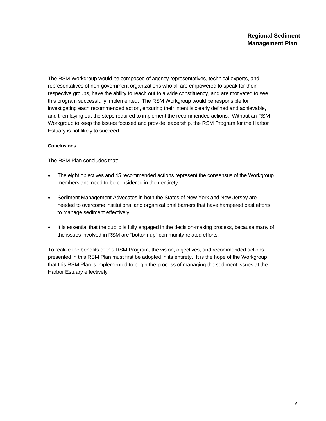The RSM Workgroup would be composed of agency representatives, technical experts, and representatives of non-government organizations who all are empowered to speak for their respective groups, have the ability to reach out to a wide constituency, and are motivated to see this program successfully implemented. The RSM Workgroup would be responsible for investigating each recommended action, ensuring their intent is clearly defined and achievable, and then laying out the steps required to implement the recommended actions. Without an RSM Workgroup to keep the issues focused and provide leadership, the RSM Program for the Harbor Estuary is not likely to succeed.

#### **Conclusions**

The RSM Plan concludes that:

- The eight objectives and 45 recommended actions represent the consensus of the Workgroup members and need to be considered in their entirety.
- Sediment Management Advocates in both the States of New York and New Jersey are needed to overcome institutional and organizational barriers that have hampered past efforts to manage sediment effectively.
- It is essential that the public is fully engaged in the decision-making process, because many of the issues involved in RSM are "bottom-up" community-related efforts.

To realize the benefits of this RSM Program, the vision, objectives, and recommended actions presented in this RSM Plan must first be adopted in its entirety. It is the hope of the Workgroup that this RSM Plan is implemented to begin the process of managing the sediment issues at the Harbor Estuary effectively.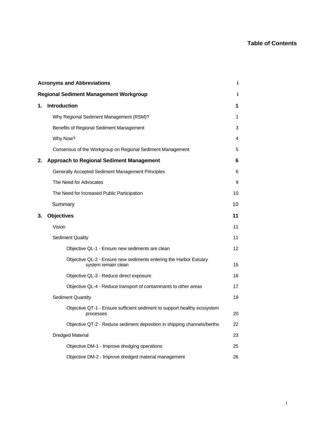## **Table of Contents**

| <b>Acronyms and Abbreviations</b><br>i              |                                                                                          |    |
|-----------------------------------------------------|------------------------------------------------------------------------------------------|----|
| <b>Regional Sediment Management Workgroup</b><br>Ĩ. |                                                                                          |    |
| 1.                                                  | Introduction                                                                             | 1  |
|                                                     | Why Regional Sediment Management (RSM)?                                                  | 1  |
|                                                     | Benefits of Regional Sediment Management                                                 | 3  |
|                                                     | Why Now?                                                                                 | 4  |
|                                                     | Consensus of the Workgroup on Regional Sediment Management                               | 5  |
| 2.                                                  | <b>Approach to Regional Sediment Management</b>                                          | 6  |
|                                                     | Generally Accepted Sediment Management Principles                                        | 6  |
|                                                     | The Need for Advocates                                                                   | 9  |
|                                                     | The Need for Increased Public Participation                                              | 10 |
|                                                     | Summary                                                                                  | 10 |
| 3.                                                  | <b>Objectives</b>                                                                        | 11 |
|                                                     | Vision                                                                                   | 11 |
|                                                     | <b>Sediment Quality</b>                                                                  | 11 |
|                                                     | Objective QL-1 - Ensure new sediments are clean                                          | 12 |
|                                                     | Objective QL-2 - Ensure new sediments entering the Harbor Estuary<br>system remain clean | 15 |
|                                                     | Objective QL-3 - Reduce direct exposure                                                  | 16 |
|                                                     | Objective QL-4 - Reduce transport of contaminants to other areas                         | 17 |
|                                                     | <b>Sediment Quantity</b>                                                                 | 19 |
|                                                     | Objective QT-1 - Ensure sufficient sediment to support healthy ecosystem<br>processes    | 20 |
|                                                     | Objective QT-2 - Reduce sediment deposition in shipping channels/berths                  | 22 |
|                                                     | <b>Dredged Material</b>                                                                  | 23 |
|                                                     | Objective DM-1 - Improve dredging operations                                             | 25 |
|                                                     | Objective DM-2 - Improve dredged material management                                     | 26 |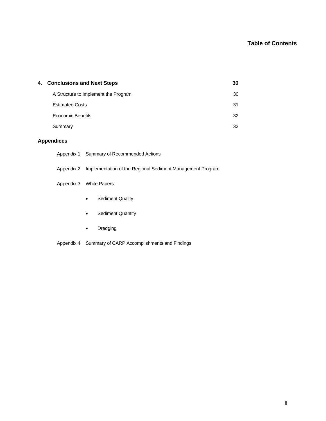## **Table of Contents**

| 4. Conclusions and Next Steps        | 30 |
|--------------------------------------|----|
| A Structure to Implement the Program | 30 |
| <b>Estimated Costs</b>               | 31 |
| <b>Economic Benefits</b>             | 32 |
| Summary                              | 32 |

### **Appendices**

| Appendix 1 | Summary of Recommended Actions                                        |  |
|------------|-----------------------------------------------------------------------|--|
|            | Appendix 2 Implementation of the Regional Sediment Management Program |  |
|            | Appendix 3 White Papers                                               |  |
|            | <b>Sediment Quality</b><br>$\bullet$                                  |  |
|            | <b>Sediment Quantity</b><br>$\bullet$                                 |  |
|            |                                                                       |  |

• Dredging

Appendix 4 Summary of CARP Accomplishments and Findings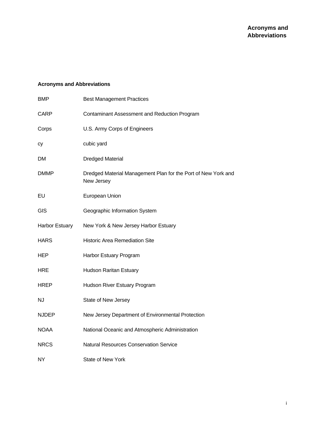## **Acronyms and Abbreviations**

| <b>BMP</b>     | <b>Best Management Practices</b>                                            |
|----------------|-----------------------------------------------------------------------------|
| CARP           | Contaminant Assessment and Reduction Program                                |
| Corps          | U.S. Army Corps of Engineers                                                |
| сy             | cubic yard                                                                  |
| DМ             | <b>Dredged Material</b>                                                     |
| <b>DMMP</b>    | Dredged Material Management Plan for the Port of New York and<br>New Jersey |
| EU             | European Union                                                              |
| <b>GIS</b>     | Geographic Information System                                               |
| Harbor Estuary | New York & New Jersey Harbor Estuary                                        |
| <b>HARS</b>    | <b>Historic Area Remediation Site</b>                                       |
| <b>HEP</b>     | Harbor Estuary Program                                                      |
| <b>HRE</b>     | <b>Hudson Raritan Estuary</b>                                               |
| <b>HREP</b>    | Hudson River Estuary Program                                                |
| NJ             | State of New Jersey                                                         |
| <b>NJDEP</b>   | New Jersey Department of Environmental Protection                           |
| <b>NOAA</b>    | National Oceanic and Atmospheric Administration                             |
| <b>NRCS</b>    | <b>Natural Resources Conservation Service</b>                               |
| NY             | State of New York                                                           |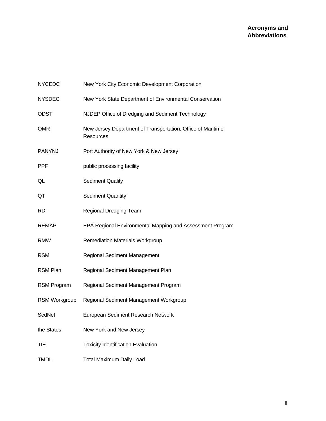| <b>NYCEDC</b>        | New York City Economic Development Corporation                           |
|----------------------|--------------------------------------------------------------------------|
| <b>NYSDEC</b>        | New York State Department of Environmental Conservation                  |
| <b>ODST</b>          | NJDEP Office of Dredging and Sediment Technology                         |
| <b>OMR</b>           | New Jersey Department of Transportation, Office of Maritime<br>Resources |
| <b>PANYNJ</b>        | Port Authority of New York & New Jersey                                  |
| <b>PPF</b>           | public processing facility                                               |
| QL                   | <b>Sediment Quality</b>                                                  |
| QT                   | <b>Sediment Quantity</b>                                                 |
| <b>RDT</b>           | Regional Dredging Team                                                   |
| <b>REMAP</b>         | EPA Regional Environmental Mapping and Assessment Program                |
| <b>RMW</b>           | <b>Remediation Materials Workgroup</b>                                   |
| <b>RSM</b>           | Regional Sediment Management                                             |
| <b>RSM Plan</b>      | Regional Sediment Management Plan                                        |
| <b>RSM Program</b>   | Regional Sediment Management Program                                     |
| <b>RSM Workgroup</b> | Regional Sediment Management Workgroup                                   |
| SedNet               | European Sediment Research Network                                       |
| the States           | New York and New Jersey                                                  |
| TIE                  | <b>Toxicity Identification Evaluation</b>                                |
| TMDL                 | <b>Total Maximum Daily Load</b>                                          |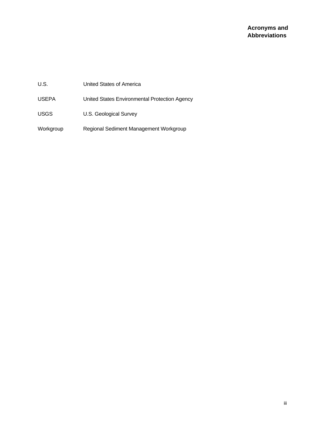| U.S.         | United States of America                      |
|--------------|-----------------------------------------------|
| <b>USEPA</b> | United States Environmental Protection Agency |
| <b>USGS</b>  | U.S. Geological Survey                        |
| Workgroup    | Regional Sediment Management Workgroup        |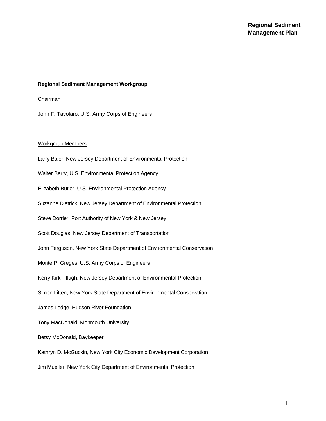#### **Regional Sediment Management Workgroup**

#### Chairman

John F. Tavolaro, U.S. Army Corps of Engineers

#### Workgroup Members

Larry Baier, New Jersey Department of Environmental Protection Walter Berry, U.S. Environmental Protection Agency Elizabeth Butler, U.S. Environmental Protection Agency Suzanne Dietrick, New Jersey Department of Environmental Protection Steve Dorrler, Port Authority of New York & New Jersey Scott Douglas, New Jersey Department of Transportation John Ferguson, New York State Department of Environmental Conservation Monte P. Greges, U.S. Army Corps of Engineers Kerry Kirk-Pflugh, New Jersey Department of Environmental Protection Simon Litten, New York State Department of Environmental Conservation James Lodge, Hudson River Foundation Tony MacDonald, Monmouth University Betsy McDonald, Baykeeper Kathryn D. McGuckin, New York City Economic Development Corporation Jim Mueller, New York City Department of Environmental Protection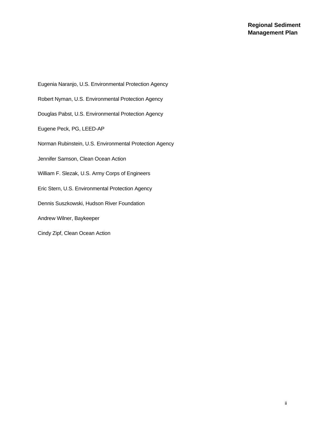Eugenia Naranjo, U.S. Environmental Protection Agency Robert Nyman, U.S. Environmental Protection Agency Douglas Pabst, U.S. Environmental Protection Agency Eugene Peck, PG, LEED-AP Norman Rubinstein, U.S. Environmental Protection Agency Jennifer Samson, Clean Ocean Action William F. Slezak, U.S. Army Corps of Engineers Eric Stern, U.S. Environmental Protection Agency Dennis Suszkowski, Hudson River Foundation Andrew Wilner, Baykeeper Cindy Zipf, Clean Ocean Action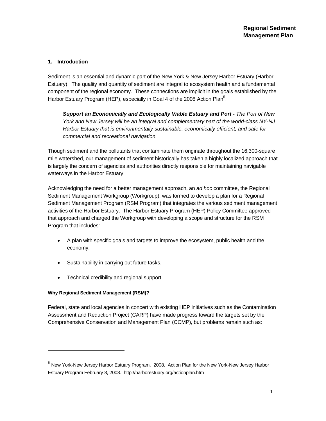#### **1. Introduction**

Sediment is an essential and dynamic part of the New York & New Jersey Harbor Estuary (Harbor Estuary). The quality and quantity of sediment are integral to ecosystem health and a fundamental component of the regional economy. These connections are implicit in the goals established by the Harbor Estuary Program (HEP), especially in Goal 4 of the 2008 Action Plan<sup>5</sup>:

*Support an Economically and Ecologically Viable Estuary and Port - The Port of New York and New Jersey will be an integral and complementary part of the world-class NY-NJ Harbor Estuary that is environmentally sustainable, economically efficient, and safe for commercial and recreational navigation.* 

Though sediment and the pollutants that contaminate them originate throughout the 16,300-square mile watershed, our management of sediment historically has taken a highly localized approach that is largely the concern of agencies and authorities directly responsible for maintaining navigable waterways in the Harbor Estuary.

Acknowledging the need for a better management approach, an *ad hoc* committee, the Regional Sediment Management Workgroup (Workgroup), was formed to develop a plan for a Regional Sediment Management Program (RSM Program) that integrates the various sediment management activities of the Harbor Estuary. The Harbor Estuary Program (HEP) Policy Committee approved that approach and charged the Workgroup with developing a scope and structure for the RSM Program that includes:

- A plan with specific goals and targets to improve the ecosystem, public health and the economy.
- Sustainability in carrying out future tasks.
- Technical credibility and regional support.

#### **Why Regional Sediment Management (RSM)?**

l

Federal, state and local agencies in concert with existing HEP initiatives such as the Contamination Assessment and Reduction Project (CARP) have made progress toward the targets set by the Comprehensive Conservation and Management Plan (CCMP), but problems remain such as:

<sup>5</sup> New York-New Jersey Harbor Estuary Program. 2008. Action Plan for the New York-New Jersey Harbor Estuary Program February 8, 2008. http://harborestuary.org/actionplan.htm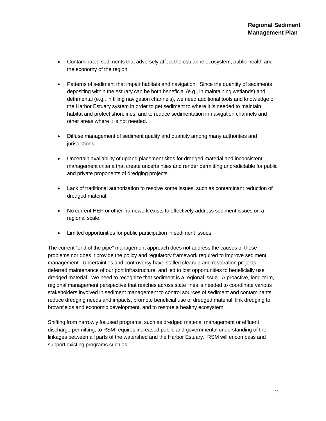- Contaminated sediments that adversely affect the estuarine ecosystem, public health and the economy of the region.
- Patterns of sediment that impair habitats and navigation. Since the quantity of sediments depositing within the estuary can be both beneficial (e.g., in maintaining wetlands) and detrimental (e.g., in filling navigation channels), we need additional tools and knowledge of the Harbor Estuary system in order to get sediment to where it is needed to maintain habitat and protect shorelines, and to reduce sedimentation in navigation channels and other areas where it is not needed.
- Diffuse management of sediment quality and quantity among many authorities and jurisdictions.
- Uncertain availability of upland placement sites for dredged material and inconsistent management criteria that create uncertainties and render permitting unpredictable for public and private proponents of dredging projects.
- Lack of traditional authorization to resolve some issues, such as contaminant reduction of dredged material.
- No current HEP or other framework exists to effectively address sediment issues on a regional scale.
- Limited opportunities for public participation in sediment issues.

The current "end of the pipe" management approach does not address the causes of these problems nor does it provide the policy and regulatory framework required to improve sediment management. Uncertainties and controversy have stalled cleanup and restoration projects, deferred maintenance of our port infrastructure, and led to lost opportunities to beneficially use dredged material. We need to recognize that sediment is a regional issue. A proactive, long-term, regional management perspective that reaches across state lines is needed to coordinate various stakeholders involved in sediment management to control sources of sediment and contaminants, reduce dredging needs and impacts, promote beneficial use of dredged material, link dredging to brownfields and economic development, and to restore a healthy ecosystem.

Shifting from narrowly focused programs, such as dredged material management or effluent discharge permitting, to RSM requires increased public and governmental understanding of the linkages between all parts of the watershed and the Harbor Estuary. RSM will encompass and support existing programs such as: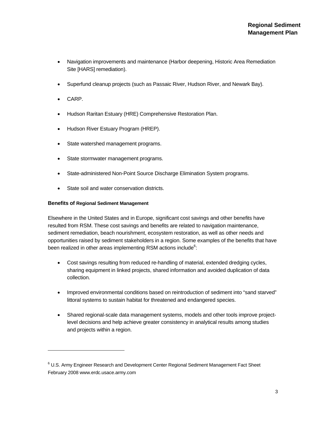- Navigation improvements and maintenance (Harbor deepening, Historic Area Remediation Site [HARS] remediation).
- Superfund cleanup projects (such as Passaic River, Hudson River, and Newark Bay).
- CARP.

1

- Hudson Raritan Estuary (HRE) Comprehensive Restoration Plan.
- Hudson River Estuary Program (HREP).
- State watershed management programs.
- State stormwater management programs.
- State-administered Non-Point Source Discharge Elimination System programs.
- State soil and water conservation districts.

#### **Benefits of Regional Sediment Management**

Elsewhere in the United States and in Europe, significant cost savings and other benefits have resulted from RSM. These cost savings and benefits are related to navigation maintenance, sediment remediation, beach nourishment, ecosystem restoration, as well as other needs and opportunities raised by sediment stakeholders in a region. Some examples of the benefits that have been realized in other areas implementing RSM actions include<sup>6</sup>:

- Cost savings resulting from reduced re-handling of material, extended dredging cycles, sharing equipment in linked projects, shared information and avoided duplication of data collection.
- Improved environmental conditions based on reintroduction of sediment into "sand starved" littoral systems to sustain habitat for threatened and endangered species.
- Shared regional-scale data management systems, models and other tools improve projectlevel decisions and help achieve greater consistency in analytical results among studies and projects within a region.

 $6$  U.S. Army Engineer Research and Development Center Regional Sediment Management Fact Sheet February 2008 www.erdc.usace.army.com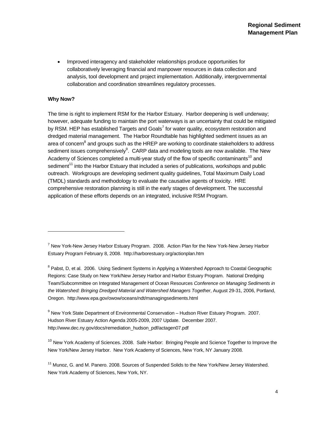• Improved interagency and stakeholder relationships produce opportunities for collaboratively leveraging financial and manpower resources in data collection and analysis, tool development and project implementation. Additionally, intergovernmental collaboration and coordination streamlines regulatory processes.

#### **Why Now?**

l

The time is right to implement RSM for the Harbor Estuary. Harbor deepening is well underway; however, adequate funding to maintain the port waterways is an uncertainty that could be mitigated by RSM. HEP has established Targets and Goals<sup>7</sup> for water quality, ecosystem restoration and dredged material management. The Harbor Roundtable has highlighted sediment issues as an area of concern<sup>8</sup> and groups such as the HREP are working to coordinate stakeholders to address sediment issues comprehensively<sup>9</sup>. CARP data and modeling tools are now available. The New Academy of Sciences completed a multi-year study of the flow of specific contaminants<sup>10</sup> and sediment<sup>11</sup> into the Harbor Estuary that included a series of publications, workshops and public outreach. Workgroups are developing sediment quality guidelines, Total Maximum Daily Load (TMDL) standards and methodology to evaluate the causative agents of toxicity. HRE comprehensive restoration planning is still in the early stages of development. The successful application of these efforts depends on an integrated, inclusive RSM Program.

<sup>8</sup> Pabst, D, et al. 2006. Using Sediment Systems in Applying a Watershed Approach to Coastal Geographic Regions: Case Study on New York/New Jersey Harbor and Harbor Estuary Program. National Dredging Team/Subcommittee on Integrated Management of Ocean Resources *Conference on Managing Sediments in the Watershed: Bringing Dredged Material and Watershed Managers Together*, August 29-31, 2006, Portland, Oregon. http://www.epa.gov/owow/oceans/ndt/managingsediments.html

<sup>9</sup> New York State Department of Environmental Conservation – Hudson River Estuary Program. 2007. Hudson River Estuary Action Agenda 2005-2009, 2007 Update. December 2007. http://www.dec.ny.gov/docs/remediation\_hudson\_pdf/actagen07.pdf

<sup>10</sup> New York Academy of Sciences. 2008. Safe Harbor: Bringing People and Science Together to Improve the New York/New Jersey Harbor. New York Academy of Sciences, New York, NY January 2008.

<sup>11</sup> Munoz, G. and M. Panero. 2008. Sources of Suspended Solids to the New York/New Jersey Watershed. New York Academy of Sciences, New York, NY.

<sup>&</sup>lt;sup>7</sup> New York-New Jersey Harbor Estuary Program. 2008. Action Plan for the New York-New Jersey Harbor Estuary Program February 8, 2008. http://harborestuary.org/actionplan.htm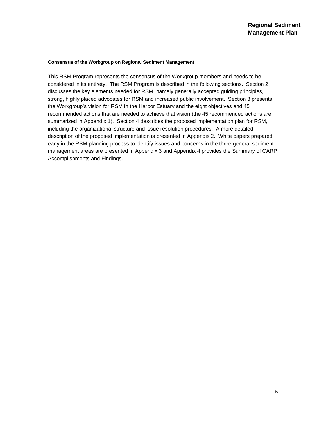#### **Consensus of the Workgroup on Regional Sediment Management**

This RSM Program represents the consensus of the Workgroup members and needs to be considered in its entirety. The RSM Program is described in the following sections. Section 2 discusses the key elements needed for RSM, namely generally accepted guiding principles, strong, highly placed advocates for RSM and increased public involvement. Section 3 presents the Workgroup's vision for RSM in the Harbor Estuary and the eight objectives and 45 recommended actions that are needed to achieve that vision (the 45 recommended actions are summarized in Appendix 1). Section 4 describes the proposed implementation plan for RSM, including the organizational structure and issue resolution procedures. A more detailed description of the proposed implementation is presented in Appendix 2. White papers prepared early in the RSM planning process to identify issues and concerns in the three general sediment management areas are presented in Appendix 3 and Appendix 4 provides the Summary of CARP Accomplishments and Findings.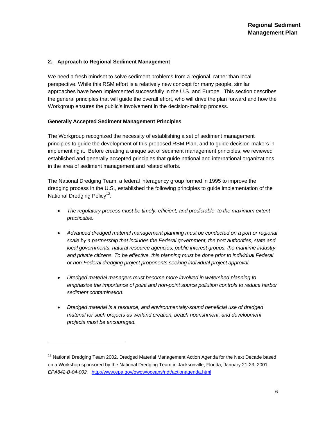#### **2. Approach to Regional Sediment Management**

We need a fresh mindset to solve sediment problems from a regional, rather than local perspective. While this RSM effort is a relatively new concept for many people, similar approaches have been implemented successfully in the U.S. and Europe. This section describes the general principles that will guide the overall effort, who will drive the plan forward and how the Workgroup ensures the public's involvement in the decision-making process.

#### **Generally Accepted Sediment Management Principles**

l

The Workgroup recognized the necessity of establishing a set of sediment management principles to guide the development of this proposed RSM Plan, and to guide decision-makers in implementing it. Before creating a unique set of sediment management principles, we reviewed established and generally accepted principles that guide national and international organizations in the area of sediment management and related efforts.

The National Dredging Team, a federal interagency group formed in 1995 to improve the dredging process in the U.S., established the following principles to guide implementation of the National Dredging Policy<sup>12</sup>:

- *The regulatory process must be timely, efficient, and predictable, to the maximum extent practicable.*
- *Advanced dredged material management planning must be conducted on a port or regional scale by a partnership that includes the Federal government, the port authorities, state and local governments, natural resource agencies, public interest groups, the maritime industry, and private citizens. To be effective, this planning must be done prior to individual Federal or non-Federal dredging project proponents seeking individual project approval.*
- *Dredged material managers must become more involved in watershed planning to emphasize the importance of point and non-point source pollution controls to reduce harbor sediment contamination.*
- *Dredged material is a resource, and environmentally-sound beneficial use of dredged material for such projects as wetland creation, beach nourishment, and development projects must be encouraged.*

<sup>&</sup>lt;sup>12</sup> National Dredging Team 2002. Dredged Material Management Action Agenda for the Next Decade based on a Workshop sponsored by the National Dredging Team in Jacksonville, Florida, January 21-23, 2001. *EPA842-B-04-002.* http://www.epa.gov/owow/oceans/ndt/actionagenda.html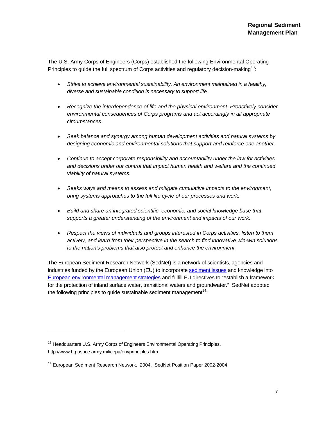The U.S. Army Corps of Engineers (Corps) established the following Environmental Operating Principles to quide the full spectrum of Corps activities and regulatory decision-making<sup>13</sup>:

- *Strive to achieve environmental sustainability. An environment maintained in a healthy, diverse and sustainable condition is necessary to support life.*
- *Recognize the interdependence of life and the physical environment. Proactively consider environmental consequences of Corps programs and act accordingly in all appropriate circumstances.*
- *Seek balance and synergy among human development activities and natural systems by designing economic and environmental solutions that support and reinforce one another.*
- *Continue to accept corporate responsibility and accountability under the law for activities and decisions under our control that impact human health and welfare and the continued viability of natural systems.*
- *Seeks ways and means to assess and mitigate cumulative impacts to the environment; bring systems approaches to the full life cycle of our processes and work.*
- *Build and share an integrated scientific, economic, and social knowledge base that supports a greater understanding of the environment and impacts of our work.*
- *Respect the views of individuals and groups interested in Corps activities, listen to them actively, and learn from their perspective in the search to find innovative win-win solutions to the nation's problems that also protect and enhance the environment.*

The European Sediment Research Network (SedNet) is a network of scientists, agencies and industries funded by the European Union (EU) to incorporate sediment issues and knowledge into European environmental management strategies and fulfill EU directives to "establish a framework for the protection of inland surface water, transitional waters and groundwater." SedNet adopted the following principles to guide sustainable sediment management<sup>14</sup>:

l

<sup>&</sup>lt;sup>13</sup> Headquarters U.S. Army Corps of Engineers Environmental Operating Principles. http://www.hq.usace.army.mil/cepa/envprinciples.htm

<sup>&</sup>lt;sup>14</sup> European Sediment Research Network. 2004. SedNet Position Paper 2002-2004.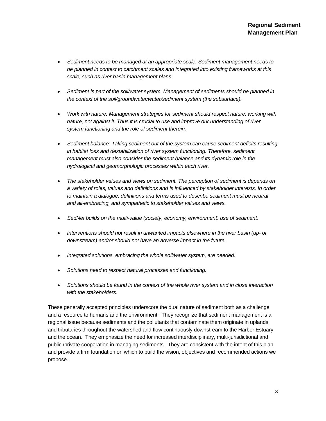- *Sediment needs to be managed at an appropriate scale: Sediment management needs to be planned in context to catchment scales and integrated into existing frameworks at this scale, such as river basin management plans.*
- *Sediment is part of the soil/water system. Management of sediments should be planned in the context of the soil/groundwater/water/sediment system (the subsurface).*
- *Work with nature: Management strategies for sediment should respect nature: working with nature, not against it. Thus it is crucial to use and improve our understanding of river system functioning and the role of sediment therein.*
- *Sediment balance: Taking sediment out of the system can cause sediment deficits resulting in habitat loss and destabilization of river system functioning. Therefore, sediment management must also consider the sediment balance and its dynamic role in the hydrological and geomorphologic processes within each river.*
- *The stakeholder values and views on sediment. The perception of sediment is depends on a variety of roles, values and definitions and is influenced by stakeholder interests. In order to maintain a dialogue, definitions and terms used to describe sediment must be neutral and all-embracing, and sympathetic to stakeholder values and views.*
- *SedNet builds on the multi-value (society, economy, environment) use of sediment.*
- *Interventions should not result in unwanted impacts elsewhere in the river basin (up- or downstream) and/or should not have an adverse impact in the future.*
- *Integrated solutions, embracing the whole soil/water system, are needed.*
- *Solutions need to respect natural processes and functioning.*
- *Solutions should be found in the context of the whole river system and in close interaction with the stakeholders.*

These generally accepted principles underscore the dual nature of sediment both as a challenge and a resource to humans and the environment. They recognize that sediment management is a regional issue because sediments and the pollutants that contaminate them originate in uplands and tributaries throughout the watershed and flow continuously downstream to the Harbor Estuary and the ocean. They emphasize the need for increased interdisciplinary, multi-jurisdictional and public /private cooperation in managing sediments. They are consistent with the intent of this plan and provide a firm foundation on which to build the vision, objectives and recommended actions we propose.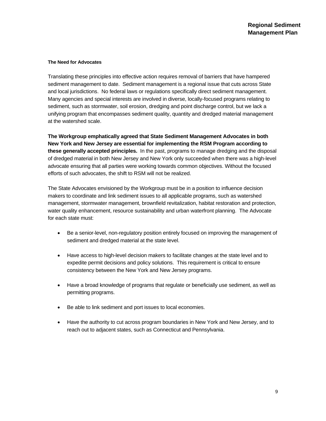#### **The Need for Advocates**

Translating these principles into effective action requires removal of barriers that have hampered sediment management to date. Sediment management is a regional issue that cuts across State and local jurisdictions. No federal laws or regulations specifically direct sediment management. Many agencies and special interests are involved in diverse, locally-focused programs relating to sediment, such as stormwater, soil erosion, dredging and point discharge control, but we lack a unifying program that encompasses sediment quality, quantity and dredged material management at the watershed scale.

**The Workgroup emphatically agreed that State Sediment Management Advocates in both New York and New Jersey are essential for implementing the RSM Program according to these generally accepted principles.** In the past, programs to manage dredging and the disposal of dredged material in both New Jersey and New York only succeeded when there was a high-level advocate ensuring that all parties were working towards common objectives. Without the focused efforts of such advocates, the shift to RSM will not be realized.

The State Advocates envisioned by the Workgroup must be in a position to influence decision makers to coordinate and link sediment issues to all applicable programs, such as watershed management, stormwater management, brownfield revitalization, habitat restoration and protection, water quality enhancement, resource sustainability and urban waterfront planning. The Advocate for each state must:

- Be a senior-level, non-regulatory position entirely focused on improving the management of sediment and dredged material at the state level.
- Have access to high-level decision makers to facilitate changes at the state level and to expedite permit decisions and policy solutions. This requirement is critical to ensure consistency between the New York and New Jersey programs.
- Have a broad knowledge of programs that regulate or beneficially use sediment, as well as permitting programs.
- Be able to link sediment and port issues to local economies.
- Have the authority to cut across program boundaries in New York and New Jersey, and to reach out to adjacent states, such as Connecticut and Pennsylvania.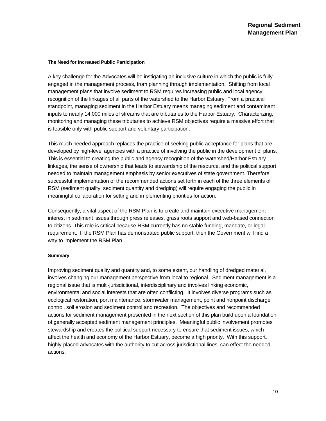#### **The Need for Increased Public Participation**

A key challenge for the Advocates will be instigating an inclusive culture in which the public is fully engaged in the management process, from planning through implementation. Shifting from local management plans that involve sediment to RSM requires increasing public and local agency recognition of the linkages of all parts of the watershed to the Harbor Estuary. From a practical standpoint, managing sediment in the Harbor Estuary means managing sediment and contaminant inputs to nearly 14,000 miles of streams that are tributaries to the Harbor Estuary. Characterizing, monitoring and managing these tributaries to achieve RSM objectives require a massive effort that is feasible only with public support and voluntary participation.

This much needed approach replaces the practice of seeking public acceptance for plans that are developed by high-level agencies with a practice of involving the public in the development of plans. This is essential to creating the public and agency recognition of the watershed/Harbor Estuary linkages, the sense of ownership that leads to stewardship of the resource, and the political support needed to maintain management emphasis by senior executives of state government. Therefore, successful implementation of the recommended actions set forth in each of the three elements of RSM (sediment quality, sediment quantity and dredging) will require engaging the public in meaningful collaboration for setting and implementing priorities for action.

Consequently, a vital aspect of the RSM Plan is to create and maintain executive management interest in sediment issues through press releases, grass roots support and web-based connection to citizens. This role is critical because RSM currently has no stable funding, mandate, or legal requirement. If the RSM Plan has demonstrated public support, then the Government will find a way to implement the RSM Plan.

#### **Summary**

Improving sediment quality and quantity and, to some extent, our handling of dredged material, involves changing our management perspective from local to regional. Sediment management is a regional issue that is multi-jurisdictional, interdisciplinary and involves linking economic, environmental and social interests that are often conflicting. It involves diverse programs such as ecological restoration, port maintenance, stormwater management, point and nonpoint discharge control, soil erosion and sediment control and recreation. The objectives and recommended actions for sediment management presented in the next section of this plan build upon a foundation of generally accepted sediment management principles. Meaningful public involvement promotes stewardship and creates the political support necessary to ensure that sediment issues, which affect the health and economy of the Harbor Estuary, become a high priority. With this support, highly-placed advocates with the authority to cut across jurisdictional lines, can effect the needed actions.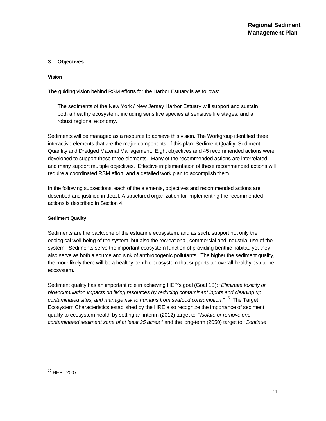#### **3. Objectives**

#### **Vision**

The guiding vision behind RSM efforts for the Harbor Estuary is as follows:

The sediments of the New York / New Jersey Harbor Estuary will support and sustain both a healthy ecosystem, including sensitive species at sensitive life stages, and a robust regional economy.

Sediments will be managed as a resource to achieve this vision. The Workgroup identified three interactive elements that are the major components of this plan: Sediment Quality, Sediment Quantity and Dredged Material Management. Eight objectives and 45 recommended actions were developed to support these three elements. Many of the recommended actions are interrelated, and many support multiple objectives. Effective implementation of these recommended actions will require a coordinated RSM effort, and a detailed work plan to accomplish them.

In the following subsections, each of the elements, objectives and recommended actions are described and justified in detail. A structured organization for implementing the recommended actions is described in Section 4.

#### **Sediment Quality**

Sediments are the backbone of the estuarine ecosystem, and as such, support not only the ecological well-being of the system, but also the recreational, commercial and industrial use of the system. Sediments serve the important ecosystem function of providing benthic habitat, yet they also serve as both a source and sink of anthropogenic pollutants. The higher the sediment quality, the more likely there will be a healthy benthic ecosystem that supports an overall healthy estuarine ecosystem.

Sediment quality has an important role in achieving HEP's goal (Goal 1B): *"Eliminate toxicity or bioaccumulation impacts on living resources by reducing contaminant inputs and cleaning up contaminated sites, and manage risk to humans from seafood consumption*.*".*15 The Target Ecosystem Characteristics established by the HRE also recognize the importance of sediment quality to ecosystem health by setting an interim (2012) target to "*Isolate or remove one contaminated sediment zone of at least 25 acres* " and the long-term (2050) target to "*Continue* 

1

<sup>15</sup> HEP. 2007.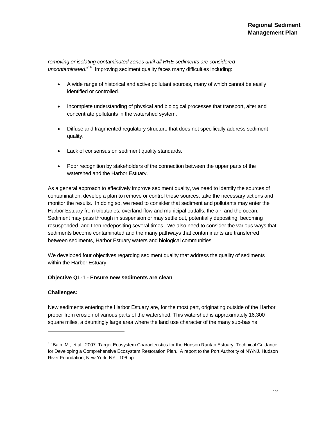*removing or isolating contaminated zones until all HRE sediments are considered uncontaminated*."16 Improving sediment quality faces many difficulties including:

- A wide range of historical and active pollutant sources, many of which cannot be easily identified or controlled.
- Incomplete understanding of physical and biological processes that transport, alter and concentrate pollutants in the watershed system.
- Diffuse and fragmented regulatory structure that does not specifically address sediment quality.
- Lack of consensus on sediment quality standards.
- Poor recognition by stakeholders of the connection between the upper parts of the watershed and the Harbor Estuary.

As a general approach to effectively improve sediment quality, we need to identify the sources of contamination, develop a plan to remove or control these sources, take the necessary actions and monitor the results. In doing so, we need to consider that sediment and pollutants may enter the Harbor Estuary from tributaries, overland flow and municipal outfalls, the air, and the ocean. Sediment may pass through in suspension or may settle out, potentially depositing, becoming resuspended, and then redepositing several times. We also need to consider the various ways that sediments become contaminated and the many pathways that contaminants are transferred between sediments, Harbor Estuary waters and biological communities.

We developed four objectives regarding sediment quality that address the quality of sediments within the Harbor Estuary.

#### **Objective QL-1 - Ensure new sediments are clean**

#### **Challenges:**

1

New sediments entering the Harbor Estuary are, for the most part, originating outside of the Harbor proper from erosion of various parts of the watershed. This watershed is approximately 16,300 square miles, a dauntingly large area where the land use character of the many sub-basins

<sup>&</sup>lt;sup>16</sup> Bain, M., et al. 2007. Target Ecosystem Characteristics for the Hudson Raritan Estuary: Technical Guidance for Developing a Comprehensive Ecosystem Restoration Plan. A report to the Port Authority of NY/NJ. Hudson River Foundation, New York, NY. 106 pp.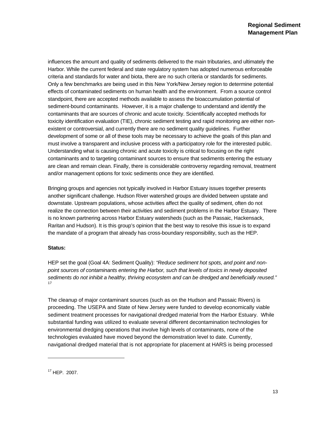influences the amount and quality of sediments delivered to the main tributaries, and ultimately the Harbor. While the current federal and state regulatory system has adopted numerous enforceable criteria and standards for water and biota, there are no such criteria or standards for sediments. Only a few benchmarks are being used in this New York/New Jersey region to determine potential effects of contaminated sediments on human health and the environment. From a source control standpoint, there are accepted methods available to assess the bioaccumulation potential of sediment-bound contaminants. However, it is a major challenge to understand and identify the contaminants that are sources of chronic and acute toxicity. Scientifically accepted methods for toxicity identification evaluation (TIE), chronic sediment testing and rapid monitoring are either nonexistent or controversial, and currently there are no sediment quality guidelines. Further development of some or all of these tools may be necessary to achieve the goals of this plan and must involve a transparent and inclusive process with a participatory role for the interested public. Understanding what is causing chronic and acute toxicity is critical to focusing on the right contaminants and to targeting contaminant sources to ensure that sediments entering the estuary are clean and remain clean. Finally, there is considerable controversy regarding removal, treatment and/or management options for toxic sediments once they are identified.

Bringing groups and agencies not typically involved in Harbor Estuary issues together presents another significant challenge. Hudson River watershed groups are divided between upstate and downstate. Upstream populations, whose activities affect the quality of sediment, often do not realize the connection between their activities and sediment problems in the Harbor Estuary. There is no known partnering across Harbor Estuary watersheds (such as the Passaic, Hackensack, Raritan and Hudson). It is this group's opinion that the best way to resolve this issue is to expand the mandate of a program that already has cross-boundary responsibility, such as the HEP.

#### **Status:**

HEP set the goal (Goal 4A: Sediment Quality): *"Reduce sediment hot spots, and point and nonpoint sources of contaminants entering the Harbor, such that levels of toxics in newly deposited sediments do not inhibit a healthy, thriving ecosystem and can be dredged and beneficially reused."* 17

The cleanup of major contaminant sources (such as on the Hudson and Passaic Rivers) is proceeding. The USEPA and State of New Jersey were funded to develop economically viable sediment treatment processes for navigational dredged material from the Harbor Estuary. While substantial funding was utilized to evaluate several different decontamination technologies for environmental dredging operations that involve high levels of contaminants, none of the technologies evaluated have moved beyond the demonstration level to date. Currently, navigational dredged material that is not appropriate for placement at HARS is being processed

1

<sup>17</sup> HEP. 2007.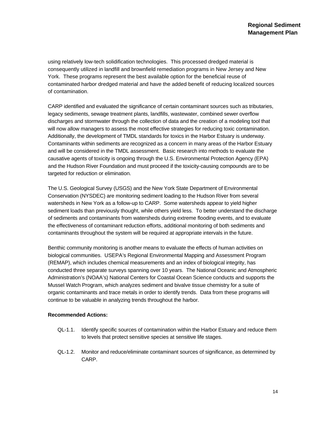using relatively low-tech solidification technologies. This processed dredged material is consequently utilized in landfill and brownfield remediation programs in New Jersey and New York. These programs represent the best available option for the beneficial reuse of contaminated harbor dredged material and have the added benefit of reducing localized sources of contamination.

CARP identified and evaluated the significance of certain contaminant sources such as tributaries, legacy sediments, sewage treatment plants, landfills, wastewater, combined sewer overflow discharges and stormwater through the collection of data and the creation of a modeling tool that will now allow managers to assess the most effective strategies for reducing toxic contamination. Additionally, the development of TMDL standards for toxics in the Harbor Estuary is underway. Contaminants within sediments are recognized as a concern in many areas of the Harbor Estuary and will be considered in the TMDL assessment. Basic research into methods to evaluate the causative agents of toxicity is ongoing through the U.S. Environmental Protection Agency (EPA) and the Hudson River Foundation and must proceed if the toxicity-causing compounds are to be targeted for reduction or elimination.

The U.S. Geological Survey (USGS) and the New York State Department of Environmental Conservation (NYSDEC) are monitoring sediment loading to the Hudson River from several watersheds in New York as a follow-up to CARP. Some watersheds appear to yield higher sediment loads than previously thought, while others yield less. To better understand the discharge of sediments and contaminants from watersheds during extreme flooding events, and to evaluate the effectiveness of contaminant reduction efforts, additional monitoring of both sediments and contaminants throughout the system will be required at appropriate intervals in the future.

Benthic community monitoring is another means to evaluate the effects of human activities on biological communities. USEPA's Regional Environmental Mapping and Assessment Program (REMAP), which includes chemical measurements and an index of biological integrity, has conducted three separate surveys spanning over 10 years. The National Oceanic and Atmospheric Administration's (NOAA's) National Centers for Coastal Ocean Science conducts and supports the Mussel Watch Program, which analyzes sediment and bivalve tissue chemistry for a suite of organic contaminants and trace metals in order to identify trends. Data from these programs will continue to be valuable in analyzing trends throughout the harbor.

#### **Recommended Actions:**

- QL-1.1. Identify specific sources of contamination within the Harbor Estuary and reduce them to levels that protect sensitive species at sensitive life stages.
- QL-1.2. Monitor and reduce/eliminate contaminant sources of significance, as determined by CARP.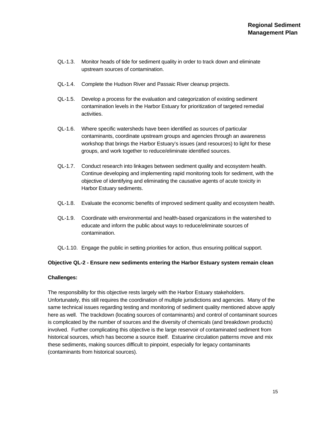- QL-1.3. Monitor heads of tide for sediment quality in order to track down and eliminate upstream sources of contamination.
- QL-1.4. Complete the Hudson River and Passaic River cleanup projects.
- QL-1.5. Develop a process for the evaluation and categorization of existing sediment contamination levels in the Harbor Estuary for prioritization of targeted remedial activities.
- QL-1.6. Where specific watersheds have been identified as sources of particular contaminants, coordinate upstream groups and agencies through an awareness workshop that brings the Harbor Estuary's issues (and resources) to light for these groups, and work together to reduce/eliminate identified sources.
- QL-1.7. Conduct research into linkages between sediment quality and ecosystem health. Continue developing and implementing rapid monitoring tools for sediment, with the objective of identifying and eliminating the causative agents of acute toxicity in Harbor Estuary sediments.
- QL-1.8. Evaluate the economic benefits of improved sediment quality and ecosystem health.
- QL-1.9. Coordinate with environmental and health-based organizations in the watershed to educate and inform the public about ways to reduce/eliminate sources of contamination.
- QL-1.10. Engage the public in setting priorities for action, thus ensuring political support.

#### **Objective QL-2 - Ensure new sediments entering the Harbor Estuary system remain clean**

#### **Challenges:**

The responsibility for this objective rests largely with the Harbor Estuary stakeholders. Unfortunately, this still requires the coordination of multiple jurisdictions and agencies. Many of the same technical issues regarding testing and monitoring of sediment quality mentioned above apply here as well. The trackdown (locating sources of contaminants) and control of contaminant sources is complicated by the number of sources and the diversity of chemicals (and breakdown products) involved. Further complicating this objective is the large reservoir of contaminated sediment from historical sources, which has become a source itself. Estuarine circulation patterns move and mix these sediments, making sources difficult to pinpoint, especially for legacy contaminants (contaminants from historical sources).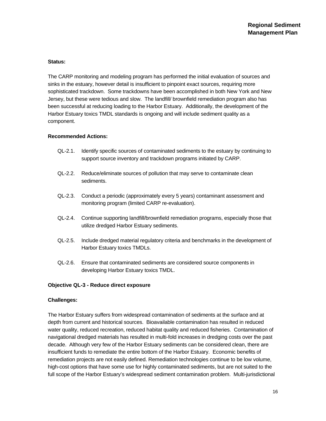#### **Status:**

The CARP monitoring and modeling program has performed the initial evaluation of sources and sinks in the estuary, however detail is insufficient to pinpoint exact sources, requiring more sophisticated trackdown. Some trackdowns have been accomplished in both New York and New Jersey, but these were tedious and slow. The landfill/ brownfield remediation program also has been successful at reducing loading to the Harbor Estuary. Additionally, the development of the Harbor Estuary toxics TMDL standards is ongoing and will include sediment quality as a component.

#### **Recommended Actions:**

- QL-2.1. Identify specific sources of contaminated sediments to the estuary by continuing to support source inventory and trackdown programs initiated by CARP.
- QL-2.2. Reduce/eliminate sources of pollution that may serve to contaminate clean sediments.
- QL-2.3. Conduct a periodic (approximately every 5 years) contaminant assessment and monitoring program (limited CARP re-evaluation).
- QL-2.4. Continue supporting landfill/brownfield remediation programs, especially those that utilize dredged Harbor Estuary sediments.
- QL-2.5. Include dredged material regulatory criteria and benchmarks in the development of Harbor Estuary toxics TMDLs.
- QL-2.6. Ensure that contaminated sediments are considered source components in developing Harbor Estuary toxics TMDL.

#### **Objective QL-3 - Reduce direct exposure**

#### **Challenges:**

The Harbor Estuary suffers from widespread contamination of sediments at the surface and at depth from current and historical sources. Bioavailable contamination has resulted in reduced water quality, reduced recreation, reduced habitat quality and reduced fisheries. Contamination of navigational dredged materials has resulted in multi-fold increases in dredging costs over the past decade. Although very few of the Harbor Estuary sediments can be considered clean, there are insufficient funds to remediate the entire bottom of the Harbor Estuary. Economic benefits of remediation projects are not easily defined. Remediation technologies continue to be low volume, high-cost options that have some use for highly contaminated sediments, but are not suited to the full scope of the Harbor Estuary's widespread sediment contamination problem. Multi-jurisdictional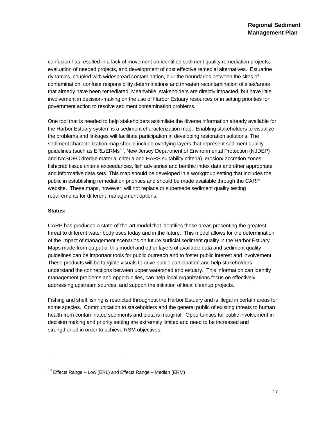confusion has resulted in a lack of movement on identified sediment quality remediation projects, evaluation of needed projects, and development of cost effective remedial alternatives. Estuarine dynamics, coupled with widespread contamination, blur the boundaries between the sites of contamination, confuse responsibility determinations and threaten recontamination of sites/areas that already have been remediated. Meanwhile, stakeholders are directly impacted, but have little involvement in decision-making on the use of Harbor Estuary resources or in setting priorities for government action to resolve sediment contamination problems.

One tool that is needed to help stakeholders assimilate the diverse information already available for the Harbor Estuary system is a sediment characterization map. Enabling stakeholders to visualize the problems and linkages will facilitate participation in developing restoration solutions. The sediment characterization map should include overlying layers that represent sediment quality guidelines (such as ERL/ERMs<sup>18</sup>, New Jersey Department of Environmental Protection (NJDEP) and NYSDEC dredge material criteria and HARS suitability criteria), erosion/ accretion zones, fish/crab tissue criteria exceedances, fish advisories and benthic index data and other appropriate and informative data sets. This map should be developed in a workgroup setting that includes the public in establishing remediation priorities and should be made available through the CARP website. These maps, however, will not replace or supersede sediment quality testing requirements for different management options.

#### **Status:**

l

CARP has produced a state-of-the-art model that identifies those areas presenting the greatest threat to different water body uses today and in the future. This model allows for the determination of the impact of management scenarios on future surficial sediment quality in the Harbor Estuary. Maps made from output of this model and other layers of available data and sediment quality guidelines can be important tools for public outreach and to foster public interest and involvement. These products will be tangible visuals to drive public participation and help stakeholders understand the connections between upper watershed and estuary. This information can identify management problems and opportunities, can help local organizations focus on effectively addressing upstream sources, and support the initiation of local cleanup projects.

Fishing and shell fishing is restricted throughout the Harbor Estuary and is illegal in certain areas for some species. Communication to stakeholders and the general public of existing threats to human health from contaminated sediments and biota is marginal. Opportunities for public involvement in decision making and priority setting are extremely limited and need to be increased and strengthened in order to achieve RSM objectives.

 $18$  Effects Range – Low (ERL) and Effects Range – Median (ERM)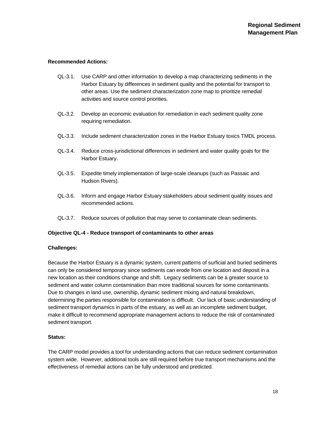#### **Recommended Actions:**

- QL-3.1. Use CARP and other information to develop a map characterizing sediments in the Harbor Estuary by differences in sediment quality and the potential for transport to other areas. Use the sediment characterization zone map to prioritize remedial activities and source control priorities.
- QL-3.2. Develop an economic evaluation for remediation in each sediment quality zone requiring remediation.
- QL-3.3. Include sediment characterization zones in the Harbor Estuary toxics TMDL process.
- QL-3.4. Reduce cross-jurisdictional differences in sediment and water quality goals for the Harbor Estuary.
- QL-3.5. Expedite timely implementation of large-scale cleanups (such as Passaic and Hudson Rivers).
- QL-3.6. Inform and engage Harbor Estuary stakeholders about sediment quality issues and recommended actions.
- QL-3.7. Reduce sources of pollution that may serve to contaminate clean sediments.

#### **Objective QL-4 - Reduce transport of contaminants to other areas**

#### **Challenges:**

Because the Harbor Estuary is a dynamic system, current patterns of surficial and buried sediments can only be considered temporary since sediments can erode from one location and deposit in a new location as their conditions change and shift. Legacy sediments can be a greater source to sediment and water column contamination than more traditional sources for some contaminants. Due to changes in land use, ownership, dynamic sediment mixing and natural breakdown, determining the parties responsible for contamination is difficult. Our lack of basic understanding of sediment transport dynamics in parts of the estuary, as well as an incomplete sediment budget, make it difficult to recommend appropriate management actions to reduce the risk of contaminated sediment transport.

#### **Status:**

The CARP model provides a tool for understanding actions that can reduce sediment contamination system wide. However, additional tools are still required before true transport mechanisms and the effectiveness of remedial actions can be fully understood and predicted.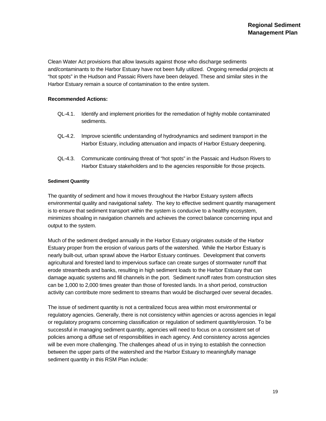Clean Water Act provisions that allow lawsuits against those who discharge sediments and/contaminants to the Harbor Estuary have not been fully utilized. Ongoing remedial projects at "hot spots" in the Hudson and Passaic Rivers have been delayed. These and similar sites in the Harbor Estuary remain a source of contamination to the entire system.

#### **Recommended Actions:**

- QL-4.1. Identify and implement priorities for the remediation of highly mobile contaminated sediments.
- QL-4.2. Improve scientific understanding of hydrodynamics and sediment transport in the Harbor Estuary, including attenuation and impacts of Harbor Estuary deepening.
- QL-4.3. Communicate continuing threat of "hot spots" in the Passaic and Hudson Rivers to Harbor Estuary stakeholders and to the agencies responsible for those projects.

#### **Sediment Quantity**

The quantity of sediment and how it moves throughout the Harbor Estuary system affects environmental quality and navigational safety. The key to effective sediment quantity management is to ensure that sediment transport within the system is conducive to a healthy ecosystem, minimizes shoaling in navigation channels and achieves the correct balance concerning input and output to the system.

Much of the sediment dredged annually in the Harbor Estuary originates outside of the Harbor Estuary proper from the erosion of various parts of the watershed. While the Harbor Estuary is nearly built-out, urban sprawl above the Harbor Estuary continues. Development that converts agricultural and forested land to impervious surface can create surges of stormwater runoff that erode streambeds and banks, resulting in high sediment loads to the Harbor Estuary that can damage aquatic systems and fill channels in the port. Sediment runoff rates from construction sites can be 1,000 to 2,000 times greater than those of forested lands. In a short period, construction activity can contribute more sediment to streams than would be discharged over several decades.

The issue of sediment quantity is not a centralized focus area within most environmental or regulatory agencies. Generally, there is not consistency within agencies or across agencies in legal or regulatory programs concerning classification or regulation of sediment quantity/erosion. To be successful in managing sediment quantity, agencies will need to focus on a consistent set of policies among a diffuse set of responsibilities in each agency. And consistency across agencies will be even more challenging. The challenges ahead of us in trying to establish the connection between the upper parts of the watershed and the Harbor Estuary to meaningfully manage sediment quantity in this RSM Plan include: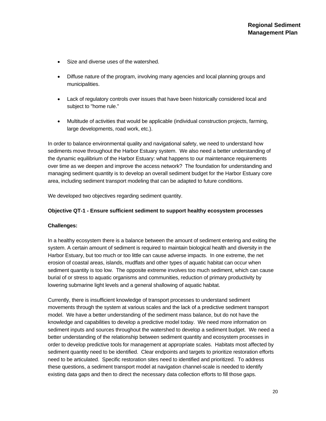- Size and diverse uses of the watershed.
- Diffuse nature of the program, involving many agencies and local planning groups and municipalities.
- Lack of regulatory controls over issues that have been historically considered local and subject to "home rule."
- Multitude of activities that would be applicable (individual construction projects, farming, large developments, road work, etc.).

In order to balance environmental quality and navigational safety, we need to understand how sediments move throughout the Harbor Estuary system. We also need a better understanding of the dynamic equilibrium of the Harbor Estuary: what happens to our maintenance requirements over time as we deepen and improve the access network? The foundation for understanding and managing sediment quantity is to develop an overall sediment budget for the Harbor Estuary core area, including sediment transport modeling that can be adapted to future conditions.

We developed two objectives regarding sediment quantity.

#### **Objective QT-1 - Ensure sufficient sediment to support healthy ecosystem processes**

#### **Challenges:**

In a healthy ecosystem there is a balance between the amount of sediment entering and exiting the system. A certain amount of sediment is required to maintain biological health and diversity in the Harbor Estuary, but too much or too little can cause adverse impacts. In one extreme, the net erosion of coastal areas, islands, mudflats and other types of aquatic habitat can occur when sediment quantity is too low. The opposite extreme involves too much sediment, which can cause burial of or stress to aquatic organisms and communities, reduction of primary productivity by lowering submarine light levels and a general shallowing of aquatic habitat.

Currently, there is insufficient knowledge of transport processes to understand sediment movements through the system at various scales and the lack of a predictive sediment transport model. We have a better understanding of the sediment mass balance, but do not have the knowledge and capabilities to develop a predictive model today. We need more information on sediment inputs and sources throughout the watershed to develop a sediment budget. We need a better understanding of the relationship between sediment quantity and ecosystem processes in order to develop predictive tools for management at appropriate scales. Habitats most affected by sediment quantity need to be identified. Clear endpoints and targets to prioritize restoration efforts need to be articulated. Specific restoration sites need to identified and prioritized. To address these questions, a sediment transport model at navigation channel-scale is needed to identify existing data gaps and then to direct the necessary data collection efforts to fill those gaps.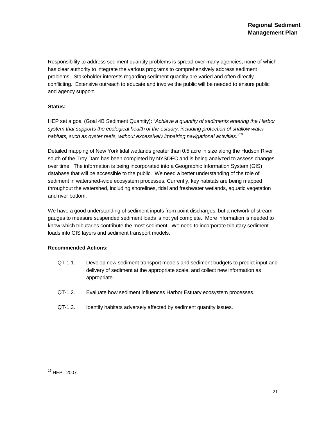Responsibility to address sediment quantity problems is spread over many agencies, none of which has clear authority to integrate the various programs to comprehensively address sediment problems. Stakeholder interests regarding sediment quantity are varied and often directly conflicting. Extensive outreach to educate and involve the public will be needed to ensure public and agency support.

#### **Status:**

HEP set a goal (Goal 4B Sediment Quantity): "*Achieve a quantity of sediments entering the Harbor system that supports the ecological health of the estuary, including protection of shallow water habitats, such as oyster reefs, without excessively impairing navigational activities."19* 

Detailed mapping of New York tidal wetlands greater than 0.5 acre in size along the Hudson River south of the Troy Dam has been completed by NYSDEC and is being analyzed to assess changes over time. The information is being incorporated into a Geographic Information System (GIS) database that will be accessible to the public. We need a better understanding of the role of sediment in watershed-wide ecosystem processes. Currently, key habitats are being mapped throughout the watershed, including shorelines, tidal and freshwater wetlands, aquatic vegetation and river bottom.

We have a good understanding of sediment inputs from point discharges, but a network of stream gauges to measure suspended sediment loads is not yet complete. More information is needed to know which tributaries contribute the most sediment. We need to incorporate tributary sediment loads into GIS layers and sediment transport models.

#### **Recommended Actions:**

- QT-1.1. Develop new sediment transport models and sediment budgets to predict input and delivery of sediment at the appropriate scale, and collect new information as appropriate.
- QT-1.2. Evaluate how sediment influences Harbor Estuary ecosystem processes.
- QT-1.3. Identify habitats adversely affected by sediment quantity issues.

l

<sup>19</sup> HEP. 2007.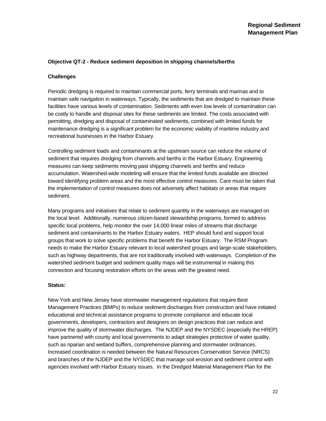#### **Objective QT-2 - Reduce sediment deposition in shipping channels/berths**

#### **Challenges**

Periodic dredging is required to maintain commercial ports, ferry terminals and marinas and to maintain safe navigation in waterways. Typically, the sediments that are dredged to maintain these facilities have various levels of contamination. Sediments with even low levels of contamination can be costly to handle and disposal sites for these sediments are limited. The costs associated with permitting, dredging and disposal of contaminated sediments, combined with limited funds for maintenance dredging is a significant problem for the economic viability of maritime industry and recreational businesses in the Harbor Estuary.

Controlling sediment loads and contaminants at the upstream source can reduce the volume of sediment that requires dredging from channels and berths in the Harbor Estuary. Engineering measures can keep sediments moving past shipping channels and berths and reduce accumulation. Watershed-wide modeling will ensure that the limited funds available are directed toward identifying problem areas and the most effective control measures. Care must be taken that the implementation of control measures does not adversely affect habitats or areas that require sediment.

Many programs and initiatives that relate to sediment quantity in the waterways are managed on the local level. Additionally, numerous citizen-based stewardship programs, formed to address specific local problems, help monitor the over 14,000 linear miles of streams that discharge sediment and contaminants to the Harbor Estuary waters. HEP should fund and support local groups that work to solve specific problems that benefit the Harbor Estuary. The RSM Program needs to make the Harbor Estuary relevant to local watershed groups and large-scale stakeholders, such as highway departments, that are not traditionally involved with waterways. Completion of the watershed sediment budget and sediment quality maps will be instrumental in making this connection and focusing restoration efforts on the areas with the greatest need.

#### **Status:**

New York and New Jersey have stormwater management regulations that require Best Management Practices (BMPs) to reduce sediment discharges from construction and have initiated educational and technical assistance programs to promote compliance and educate local governments, developers, contractors and designers on design practices that can reduce and improve the quality of stormwater discharges. The NJDEP and the NYSDEC (especially the HREP) have partnered with county and local governments to adapt strategies protective of water quality, such as riparian and wetland buffers, comprehensive planning and stormwater ordinances. Increased coordination is needed between the Natural Resources Conservation Service (NRCS) and branches of the NJDEP and the NYSDEC that manage soil erosion and sediment control with agencies involved with Harbor Estuary issues. In the Dredged Material Management Plan for the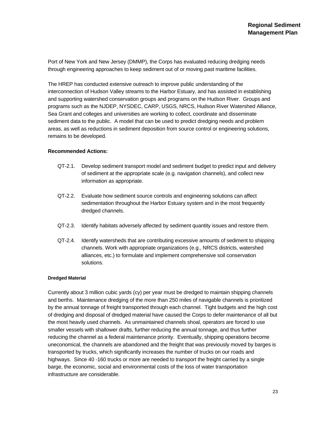Port of New York and New Jersey (DMMP), the Corps has evaluated reducing dredging needs through engineering approaches to keep sediment out of or moving past maritime facilities.

The HREP has conducted extensive outreach to improve public understanding of the interconnection of Hudson Valley streams to the Harbor Estuary, and has assisted in establishing and supporting watershed conservation groups and programs on the Hudson River. Groups and programs such as the NJDEP, NYSDEC, CARP, USGS, NRCS, Hudson River Watershed Alliance, Sea Grant and colleges and universities are working to collect, coordinate and disseminate sediment data to the public. A model that can be used to predict dredging needs and problem areas, as well as reductions in sediment deposition from source control or engineering solutions, remains to be developed.

#### **Recommended Actions:**

- QT-2.1. Develop sediment transport model and sediment budget to predict input and delivery of sediment at the appropriate scale (e.g. navigation channels), and collect new information as appropriate.
- QT-2.2. Evaluate how sediment source controls and engineering solutions can affect sedimentation throughout the Harbor Estuary system and in the most frequently dredged channels.
- QT-2.3. Identify habitats adversely affected by sediment quantity issues and restore them.
- QT-2.4. Identify watersheds that are contributing excessive amounts of sediment to shipping channels. Work with appropriate organizations (e.g., NRCS districts, watershed alliances, etc.) to formulate and implement comprehensive soil conservation solutions.

#### **Dredged Material**

Currently about 3 million cubic yards (cy) per year must be dredged to maintain shipping channels and berths. Maintenance dredging of the more than 250 miles of navigable channels is prioritized by the annual tonnage of freight transported through each channel. Tight budgets and the high cost of dredging and disposal of dredged material have caused the Corps to defer maintenance of all but the most heavily used channels. As unmaintained channels shoal, operators are forced to use smaller vessels with shallower drafts, further reducing the annual tonnage, and thus further reducing the channel as a federal maintenance priority. Eventually, shipping operations become uneconomical, the channels are abandoned and the freight that was previously moved by barges is transported by trucks, which significantly increases the number of trucks on our roads and highways. Since 40 -160 trucks or more are needed to transport the freight carried by a single barge, the economic, social and environmental costs of the loss of water transportation infrastructure are considerable.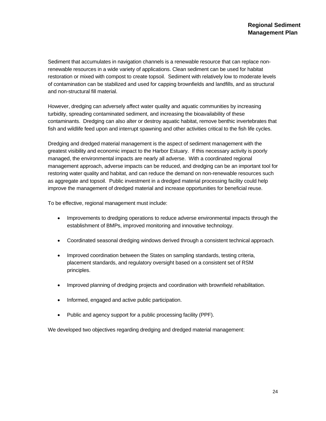Sediment that accumulates in navigation channels is a renewable resource that can replace nonrenewable resources in a wide variety of applications. Clean sediment can be used for habitat restoration or mixed with compost to create topsoil. Sediment with relatively low to moderate levels of contamination can be stabilized and used for capping brownfields and landfills, and as structural and non-structural fill material.

However, dredging can adversely affect water quality and aquatic communities by increasing turbidity, spreading contaminated sediment, and increasing the bioavailability of these contaminants. Dredging can also alter or destroy aquatic habitat, remove benthic invertebrates that fish and wildlife feed upon and interrupt spawning and other activities critical to the fish life cycles.

Dredging and dredged material management is the aspect of sediment management with the greatest visibility and economic impact to the Harbor Estuary. If this necessary activity is poorly managed, the environmental impacts are nearly all adverse. With a coordinated regional management approach, adverse impacts can be reduced, and dredging can be an important tool for restoring water quality and habitat, and can reduce the demand on non-renewable resources such as aggregate and topsoil. Public investment in a dredged material processing facility could help improve the management of dredged material and increase opportunities for beneficial reuse.

To be effective, regional management must include:

- Improvements to dredging operations to reduce adverse environmental impacts through the establishment of BMPs, improved monitoring and innovative technology.
- Coordinated seasonal dredging windows derived through a consistent technical approach.
- Improved coordination between the States on sampling standards, testing criteria, placement standards, and regulatory oversight based on a consistent set of RSM principles.
- Improved planning of dredging projects and coordination with brownfield rehabilitation.
- Informed, engaged and active public participation.
- Public and agency support for a public processing facility (PPF).

We developed two objectives regarding dredging and dredged material management: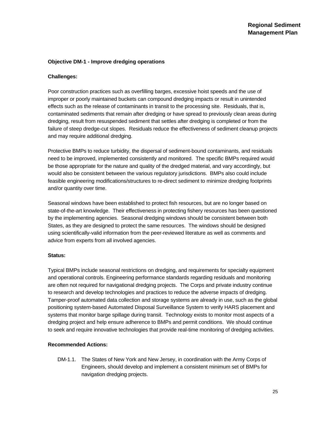# **Objective DM-1 - Improve dredging operations**

### **Challenges:**

Poor construction practices such as overfilling barges, excessive hoist speeds and the use of improper or poorly maintained buckets can compound dredging impacts or result in unintended effects such as the release of contaminants in transit to the processing site. Residuals, that is, contaminated sediments that remain after dredging or have spread to previously clean areas during dredging, result from resuspended sediment that settles after dredging is completed or from the failure of steep dredge-cut slopes. Residuals reduce the effectiveness of sediment cleanup projects and may require additional dredging.

Protective BMPs to reduce turbidity, the dispersal of sediment-bound contaminants, and residuals need to be improved, implemented consistently and monitored. The specific BMPs required would be those appropriate for the nature and quality of the dredged material, and vary accordingly, but would also be consistent between the various regulatory jurisdictions. BMPs also could include feasible engineering modifications/structures to re-direct sediment to minimize dredging footprints and/or quantity over time.

Seasonal windows have been established to protect fish resources, but are no longer based on state-of-the-art knowledge. Their effectiveness in protecting fishery resources has been questioned by the implementing agencies. Seasonal dredging windows should be consistent between both States, as they are designed to protect the same resources. The windows should be designed using scientifically-valid information from the peer-reviewed literature as well as comments and advice from experts from all involved agencies.

### **Status:**

Typical BMPs include seasonal restrictions on dredging, and requirements for specialty equipment and operational controls. Engineering performance standards regarding residuals and monitoring are often not required for navigational dredging projects. The Corps and private industry continue to research and develop technologies and practices to reduce the adverse impacts of dredging. Tamper-proof automated data collection and storage systems are already in use, such as the global positioning system-based Automated Disposal Surveillance System to verify HARS placement and systems that monitor barge spillage during transit. Technology exists to monitor most aspects of a dredging project and help ensure adherence to BMPs and permit conditions. We should continue to seek and require innovative technologies that provide real-time monitoring of dredging activities.

### **Recommended Actions:**

DM-1.1. The States of New York and New Jersey, in coordination with the Army Corps of Engineers, should develop and implement a consistent minimum set of BMPs for navigation dredging projects.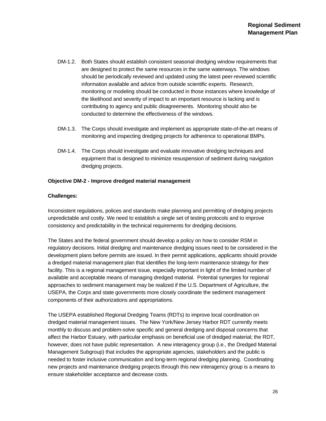- DM-1.2. Both States should establish consistent seasonal dredging window requirements that are designed to protect the same resources in the same waterways. The windows should be periodically reviewed and updated using the latest peer-reviewed scientific information available and advice from outside scientific experts. Research, monitoring or modeling should be conducted in those instances where knowledge of the likelihood and severity of impact to an important resource is lacking and is contributing to agency and public disagreements. Monitoring should also be conducted to determine the effectiveness of the windows.
- DM-1.3. The Corps should investigate and implement as appropriate state-of-the-art means of monitoring and inspecting dredging projects for adherence to operational BMPs.
- DM-1.4. The Corps should investigate and evaluate innovative dredging techniques and equipment that is designed to minimize resuspension of sediment during navigation dredging projects.

### **Objective DM-2 - Improve dredged material management**

# **Challenges:**

Inconsistent regulations, polices and standards make planning and permitting of dredging projects unpredictable and costly. We need to establish a single set of testing protocols and to improve consistency and predictability in the technical requirements for dredging decisions.

The States and the federal government should develop a policy on how to consider RSM in regulatory decisions. Initial dredging and maintenance dredging issues need to be considered in the development plans before permits are issued. In their permit applications, applicants should provide a dredged material management plan that identifies the long-term maintenance strategy for their facility. This is a regional management issue, especially important in light of the limited number of available and acceptable means of managing dredged material. Potential synergies for regional approaches to sediment management may be realized if the U.S. Department of Agriculture, the USEPA, the Corps and state governments more closely coordinate the sediment management components of their authorizations and appropriations.

The USEPA established Regional Dredging Teams (RDTs) to improve local coordination on dredged material management issues. The New York/New Jersey Harbor RDT currently meets monthly to discuss and problem-solve specific and general dredging and disposal concerns that affect the Harbor Estuary, with particular emphasis on beneficial use of dredged material; the RDT, however, does not have public representation. A new interagency group (i.e., the Dredged Material Management Subgroup) that includes the appropriate agencies, stakeholders and the public is needed to foster inclusive communication and long-term regional dredging planning. Coordinating new projects and maintenance dredging projects through this new interagency group is a means to ensure stakeholder acceptance and decrease costs.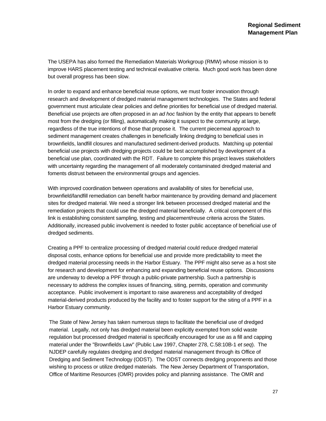The USEPA has also formed the Remediation Materials Workgroup (RMW) whose mission is to improve HARS placement testing and technical evaluative criteria. Much good work has been done but overall progress has been slow.

In order to expand and enhance beneficial reuse options, we must foster innovation through research and development of dredged material management technologies. The States and federal government must articulate clear policies and define priorities for beneficial use of dredged material. Beneficial use projects are often proposed in an *ad hoc* fashion by the entity that appears to benefit most from the dredging (or filling), automatically making it suspect to the community at large, regardless of the true intentions of those that propose it. The current piecemeal approach to sediment management creates challenges in beneficially linking dredging to beneficial uses in brownfields, landfill closures and manufactured sediment-derived products. Matching up potential beneficial use projects with dredging projects could be best accomplished by development of a beneficial use plan, coordinated with the RDT. Failure to complete this project leaves stakeholders with uncertainty regarding the management of all moderately contaminated dredged material and foments distrust between the environmental groups and agencies.

With improved coordination between operations and availability of sites for beneficial use, brownfield/landfill remediation can benefit harbor maintenance by providing demand and placement sites for dredged material. We need a stronger link between processed dredged material and the remediation projects that could use the dredged material beneficially. A critical component of this link is establishing consistent sampling, testing and placement/reuse criteria across the States. Additionally, increased public involvement is needed to foster public acceptance of beneficial use of dredged sediments.

Creating a PPF to centralize processing of dredged material could reduce dredged material disposal costs, enhance options for beneficial use and provide more predictability to meet the dredged material processing needs in the Harbor Estuary. The PPF might also serve as a host site for research and development for enhancing and expanding beneficial reuse options. Discussions are underway to develop a PPF through a public-private partnership. Such a partnership is necessary to address the complex issues of financing, siting, permits, operation and community acceptance. Public involvement is important to raise awareness and acceptability of dredged material-derived products produced by the facility and to foster support for the siting of a PPF in a Harbor Estuary community.

The State of New Jersey has taken numerous steps to facilitate the beneficial use of dredged material. Legally, not only has dredged material been explicitly exempted from solid waste regulation but processed dredged material is specifically encouraged for use as a fill and capping material under the "Brownfields Law" (Public Law 1997, Chapter 278, C.58:10B-1 *et seq*). The NJDEP carefully regulates dredging and dredged material management through its Office of Dredging and Sediment Technology (ODST). The ODST connects dredging proponents and those wishing to process or utilize dredged materials. The New Jersey Department of Transportation, Office of Maritime Resources (OMR) provides policy and planning assistance. The OMR and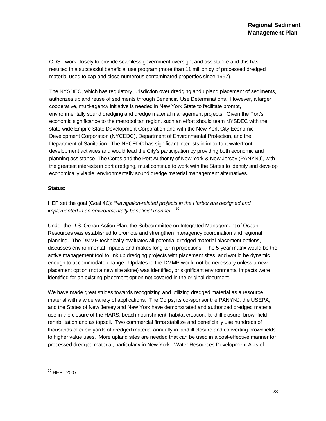ODST work closely to provide seamless government oversight and assistance and this has resulted in a successful beneficial use program (more than 11 million cy of processed dredged material used to cap and close numerous contaminated properties since 1997).

The NYSDEC, which has regulatory jurisdiction over dredging and upland placement of sediments, authorizes upland reuse of sediments through Beneficial Use Determinations. However, a larger, cooperative, multi-agency initiative is needed in New York State to facilitate prompt, environmentally sound dredging and dredge material management projects. Given the Port's economic significance to the metropolitan region, such an effort should team NYSDEC with the state-wide Empire State Development Corporation and with the New York City Economic Development Corporation (NYCEDC), Department of Environmental Protection, and the Department of Sanitation. The NYCEDC has significant interests in important waterfront development activities and would lead the City's participation by providing both economic and planning assistance. The Corps and the Port Authority of New York & New Jersey (PANYNJ), with the greatest interests in port dredging, must continue to work with the States to identify and develop economically viable, environmentally sound dredge material management alternatives.

# **Status:**

HEP set the goal (Goal 4C): *"Navigation-related projects in the Harbor are designed and implemented in an environmentally beneficial manner."* 20

Under the U.S. Ocean Action Plan, the Subcommittee on Integrated Management of Ocean Resources was established to promote and strengthen interagency coordination and regional planning. The DMMP technically evaluates all potential dredged material placement options, discusses environmental impacts and makes long-term projections. The 5-year matrix would be the active management tool to link up dredging projects with placement sites, and would be dynamic enough to accommodate change. Updates to the DMMP would not be necessary unless a new placement option (not a new site alone) was identified, or significant environmental impacts were identified for an existing placement option not covered in the original document.

We have made great strides towards recognizing and utilizing dredged material as a resource material with a wide variety of applications. The Corps, its co-sponsor the PANYNJ, the USEPA, and the States of New Jersey and New York have demonstrated and authorized dredged material use in the closure of the HARS, beach nourishment, habitat creation, landfill closure, brownfield rehabilitation and as topsoil. Two commercial firms stabilize and beneficially use hundreds of thousands of cubic yards of dredged material annually in landfill closure and converting brownfields to higher value uses. More upland sites are needed that can be used in a cost-effective manner for processed dredged material, particularly in New York. Water Resources Development Acts of

l

<sup>20</sup> HEP. 2007.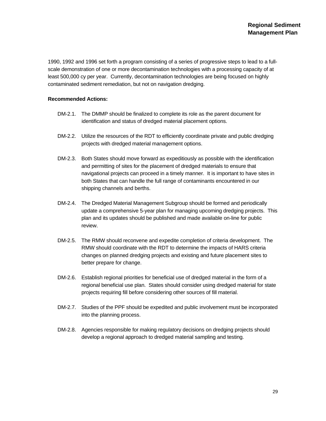1990, 1992 and 1996 set forth a program consisting of a series of progressive steps to lead to a fullscale demonstration of one or more decontamination technologies with a processing capacity of at least 500,000 cy per year. Currently, decontamination technologies are being focused on highly contaminated sediment remediation, but not on navigation dredging.

### **Recommended Actions:**

- DM-2.1. The DMMP should be finalized to complete its role as the parent document for identification and status of dredged material placement options.
- DM-2.2. Utilize the resources of the RDT to efficiently coordinate private and public dredging projects with dredged material management options.
- DM-2.3. Both States should move forward as expeditiously as possible with the identification and permitting of sites for the placement of dredged materials to ensure that navigational projects can proceed in a timely manner. It is important to have sites in both States that can handle the full range of contaminants encountered in our shipping channels and berths.
- DM-2.4. The Dredged Material Management Subgroup should be formed and periodically update a comprehensive 5-year plan for managing upcoming dredging projects. This plan and its updates should be published and made available on-line for public review.
- DM-2.5. The RMW should reconvene and expedite completion of criteria development. The RMW should coordinate with the RDT to determine the impacts of HARS criteria changes on planned dredging projects and existing and future placement sites to better prepare for change.
- DM-2.6. Establish regional priorities for beneficial use of dredged material in the form of a regional beneficial use plan. States should consider using dredged material for state projects requiring fill before considering other sources of fill material.
- DM-2.7. Studies of the PPF should be expedited and public involvement must be incorporated into the planning process.
- DM-2.8. Agencies responsible for making regulatory decisions on dredging projects should develop a regional approach to dredged material sampling and testing.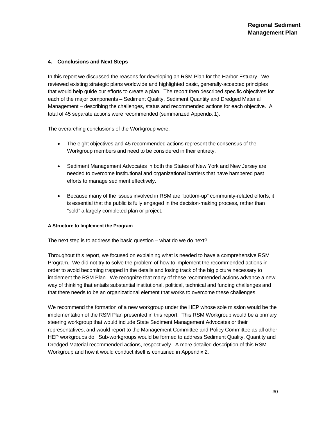# **4. Conclusions and Next Steps**

In this report we discussed the reasons for developing an RSM Plan for the Harbor Estuary. We reviewed existing strategic plans worldwide and highlighted basic, generally-accepted principles that would help guide our efforts to create a plan. The report then described specific objectives for each of the major components – Sediment Quality, Sediment Quantity and Dredged Material Management – describing the challenges, status and recommended actions for each objective. A total of 45 separate actions were recommended (summarized Appendix 1).

The overarching conclusions of the Workgroup were:

- The eight objectives and 45 recommended actions represent the consensus of the Workgroup members and need to be considered in their entirety.
- Sediment Management Advocates in both the States of New York and New Jersey are needed to overcome institutional and organizational barriers that have hampered past efforts to manage sediment effectively.
- Because many of the issues involved in RSM are "bottom-up" community-related efforts, it is essential that the public is fully engaged in the decision-making process, rather than "sold" a largely completed plan or project.

### **A Structure to Implement the Program**

The next step is to address the basic question – what do we do next?

Throughout this report, we focused on explaining what is needed to have a comprehensive RSM Program. We did not try to solve the problem of how to implement the recommended actions in order to avoid becoming trapped in the details and losing track of the big picture necessary to implement the RSM Plan. We recognize that many of these recommended actions advance a new way of thinking that entails substantial institutional, political, technical and funding challenges and that there needs to be an organizational element that works to overcome these challenges.

We recommend the formation of a new workgroup under the HEP whose sole mission would be the implementation of the RSM Plan presented in this report. This RSM Workgroup would be a primary steering workgroup that would include State Sediment Management Advocates or their representatives, and would report to the Management Committee and Policy Committee as all other HEP workgroups do. Sub-workgroups would be formed to address Sediment Quality, Quantity and Dredged Material recommended actions, respectively. A more detailed description of this RSM Workgroup and how it would conduct itself is contained in Appendix 2.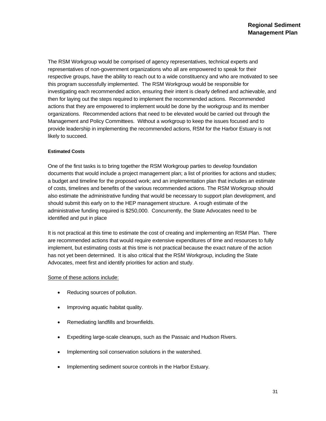The RSM Workgroup would be comprised of agency representatives, technical experts and representatives of non-government organizations who all are empowered to speak for their respective groups, have the ability to reach out to a wide constituency and who are motivated to see this program successfully implemented. The RSM Workgroup would be responsible for investigating each recommended action, ensuring their intent is clearly defined and achievable, and then for laying out the steps required to implement the recommended actions. Recommended actions that they are empowered to implement would be done by the workgroup and its member organizations. Recommended actions that need to be elevated would be carried out through the Management and Policy Committees. Without a workgroup to keep the issues focused and to provide leadership in implementing the recommended actions, RSM for the Harbor Estuary is not likely to succeed.

#### **Estimated Costs**

One of the first tasks is to bring together the RSM Workgroup parties to develop foundation documents that would include a project management plan; a list of priorities for actions and studies; a budget and timeline for the proposed work; and an implementation plan that includes an estimate of costs, timelines and benefits of the various recommended actions. The RSM Workgroup should also estimate the administrative funding that would be necessary to support plan development, and should submit this early on to the HEP management structure. A rough estimate of the administrative funding required is \$250,000. Concurrently, the State Advocates need to be identified and put in place

It is not practical at this time to estimate the cost of creating and implementing an RSM Plan. There are recommended actions that would require extensive expenditures of time and resources to fully implement, but estimating costs at this time is not practical because the exact nature of the action has not yet been determined. It is also critical that the RSM Workgroup, including the State Advocates, meet first and identify priorities for action and study.

# Some of these actions include:

- Reducing sources of pollution.
- Improving aquatic habitat quality.
- Remediating landfills and brownfields.
- Expediting large-scale cleanups, such as the Passaic and Hudson Rivers.
- Implementing soil conservation solutions in the watershed.
- Implementing sediment source controls in the Harbor Estuary.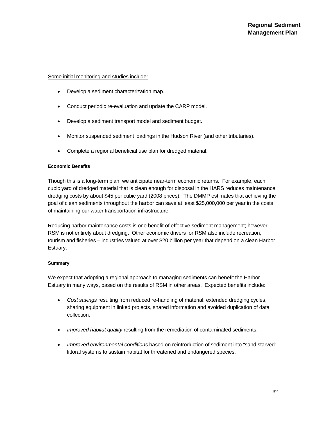### Some initial monitoring and studies include:

- Develop a sediment characterization map.
- Conduct periodic re-evaluation and update the CARP model.
- Develop a sediment transport model and sediment budget.
- Monitor suspended sediment loadings in the Hudson River (and other tributaries).
- Complete a regional beneficial use plan for dredged material.

# **Economic Benefits**

Though this is a long-term plan, we anticipate near-term economic returns. For example, each cubic yard of dredged material that is clean enough for disposal in the HARS reduces maintenance dredging costs by about \$45 per cubic yard (2008 prices). The DMMP estimates that achieving the goal of clean sediments throughout the harbor can save at least \$25,000,000 per year in the costs of maintaining our water transportation infrastructure.

Reducing harbor maintenance costs is one benefit of effective sediment management; however RSM is not entirely about dredging. Other economic drivers for RSM also include recreation, tourism and fisheries – industries valued at over \$20 billion per year that depend on a clean Harbor Estuary.

# **Summary**

We expect that adopting a regional approach to managing sediments can benefit the Harbor Estuary in many ways, based on the results of RSM in other areas. Expected benefits include:

- *Cost savings* resulting from reduced re-handling of material; extended dredging cycles, sharing equipment in linked projects, shared information and avoided duplication of data collection.
- *Improved habitat quality* resulting from the remediation of contaminated sediments.
- *Improved environmental conditions* based on reintroduction of sediment into "sand starved" littoral systems to sustain habitat for threatened and endangered species.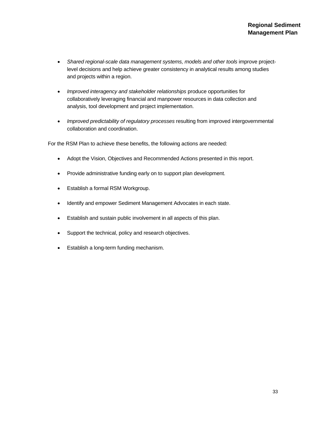- *Shared regional-scale data management systems, models and other tools* improve projectlevel decisions and help achieve greater consistency in analytical results among studies and projects within a region.
- *Improved interagency and stakeholder relationships* produce opportunities for collaboratively leveraging financial and manpower resources in data collection and analysis, tool development and project implementation.
- *Improved predictability of regulatory processes* resulting from improved intergovernmental collaboration and coordination.

For the RSM Plan to achieve these benefits, the following actions are needed:

- Adopt the Vision, Objectives and Recommended Actions presented in this report.
- Provide administrative funding early on to support plan development.
- Establish a formal RSM Workgroup.
- Identify and empower Sediment Management Advocates in each state.
- Establish and sustain public involvement in all aspects of this plan.
- Support the technical, policy and research objectives.
- Establish a long-term funding mechanism.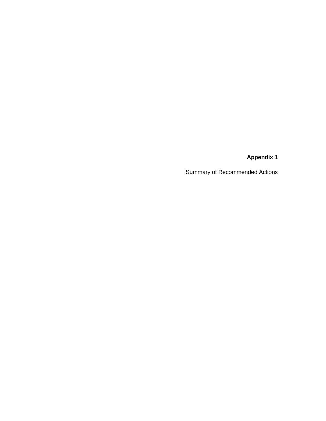**Appendix 1** 

Summary of Recommended Actions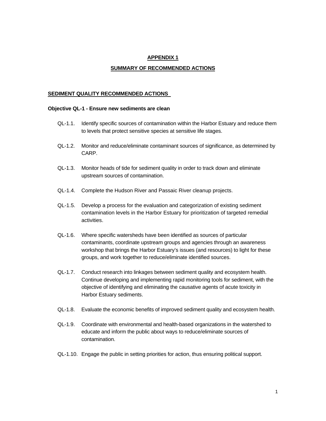# **APPENDIX 1**

### **SUMMARY OF RECOMMENDED ACTIONS**

### **SEDIMENT QUALITY RECOMMENDED ACTIONS**

#### **Objective QL-1 - Ensure new sediments are clean**

- QL-1.1. Identify specific sources of contamination within the Harbor Estuary and reduce them to levels that protect sensitive species at sensitive life stages.
- QL-1.2. Monitor and reduce/eliminate contaminant sources of significance, as determined by CARP.
- QL-1.3. Monitor heads of tide for sediment quality in order to track down and eliminate upstream sources of contamination.
- QL-1.4. Complete the Hudson River and Passaic River cleanup projects.
- QL-1.5. Develop a process for the evaluation and categorization of existing sediment contamination levels in the Harbor Estuary for prioritization of targeted remedial activities.
- QL-1.6. Where specific watersheds have been identified as sources of particular contaminants, coordinate upstream groups and agencies through an awareness workshop that brings the Harbor Estuary's issues (and resources) to light for these groups, and work together to reduce/eliminate identified sources.
- QL-1.7. Conduct research into linkages between sediment quality and ecosystem health. Continue developing and implementing rapid monitoring tools for sediment, with the objective of identifying and eliminating the causative agents of acute toxicity in Harbor Estuary sediments.
- QL-1.8. Evaluate the economic benefits of improved sediment quality and ecosystem health.
- QL-1.9. Coordinate with environmental and health-based organizations in the watershed to educate and inform the public about ways to reduce/eliminate sources of contamination.
- QL-1.10. Engage the public in setting priorities for action, thus ensuring political support.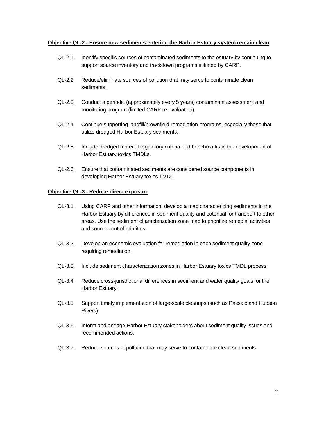### **Objective QL-2 - Ensure new sediments entering the Harbor Estuary system remain clean**

- QL-2.1. Identify specific sources of contaminated sediments to the estuary by continuing to support source inventory and trackdown programs initiated by CARP.
- QL-2.2. Reduce/eliminate sources of pollution that may serve to contaminate clean sediments.
- QL-2.3. Conduct a periodic (approximately every 5 years) contaminant assessment and monitoring program (limited CARP re-evaluation).
- QL-2.4. Continue supporting landfill/brownfield remediation programs, especially those that utilize dredged Harbor Estuary sediments.
- QL-2.5. Include dredged material regulatory criteria and benchmarks in the development of Harbor Estuary toxics TMDLs.
- QL-2.6. Ensure that contaminated sediments are considered source components in developing Harbor Estuary toxics TMDL.

### **Objective QL-3 - Reduce direct exposure**

- QL-3.1. Using CARP and other information, develop a map characterizing sediments in the Harbor Estuary by differences in sediment quality and potential for transport to other areas. Use the sediment characterization zone map to prioritize remedial activities and source control priorities.
- QL-3.2. Develop an economic evaluation for remediation in each sediment quality zone requiring remediation.
- QL-3.3. Include sediment characterization zones in Harbor Estuary toxics TMDL process.
- QL-3.4. Reduce cross-jurisdictional differences in sediment and water quality goals for the Harbor Estuary.
- QL-3.5. Support timely implementation of large-scale cleanups (such as Passaic and Hudson Rivers).
- QL-3.6. Inform and engage Harbor Estuary stakeholders about sediment quality issues and recommended actions.
- QL-3.7. Reduce sources of pollution that may serve to contaminate clean sediments.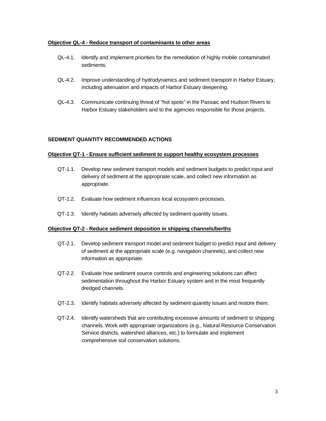### **Objective QL-4 - Reduce transport of contaminants to other areas**

- QL-4.1. Identify and implement priorities for the remediation of highly mobile contaminated sediments.
- QL-4.2. Improve understanding of hydrodynamics and sediment transport in Harbor Estuary, including attenuation and impacts of Harbor Estuary deepening.
- QL-4.3. Communicate continuing threat of "hot spots" in the Passaic and Hudson Rivers to Harbor Estuary stakeholders and to the agencies responsible for those projects.

# **SEDIMENT QUANTITY RECOMMENDED ACTIONS**

### **Objective QT-1 - Ensure sufficient sediment to support healthy ecosystem processes**

- QT-1.1. Develop new sediment transport models and sediment budgets to predict input and delivery of sediment at the appropriate scale, and collect new information as appropriate.
- QT-1.2. Evaluate how sediment influences local ecosystem processes.
- QT-1.3. Identify habitats adversely affected by sediment quantity issues.

### **Objective QT-2 - Reduce sediment deposition in shipping channels/berths**

- QT-2.1. Develop sediment transport model and sediment budget to predict input and delivery of sediment at the appropriate scale (e.g. navigation channels), and collect new information as appropriate.
- QT-2.2. Evaluate how sediment source controls and engineering solutions can affect sedimentation throughout the Harbor Estuary system and in the most frequently dredged channels.
- QT-2.3. Identify habitats adversely affected by sediment quantity issues and restore them.
- QT-2.4. Identify watersheds that are contributing excessive amounts of sediment to shipping channels. Work with appropriate organizations (e.g., Natural Resource Conservation Service districts, watershed alliances, etc.) to formulate and implement comprehensive soil conservation solutions.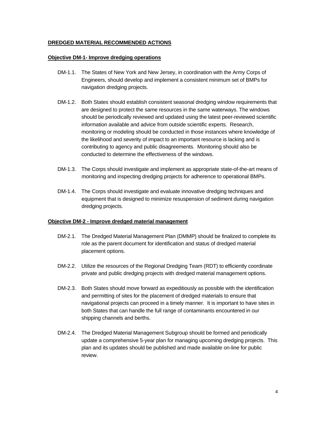# **DREDGED MATERIAL RECOMMENDED ACTIONS**

### **Objective DM-1- Improve dredging operations**

- DM-1.1. The States of New York and New Jersey, in coordination with the Army Corps of Engineers, should develop and implement a consistent minimum set of BMPs for navigation dredging projects.
- DM-1.2. Both States should establish consistent seasonal dredging window requirements that are designed to protect the same resources in the same waterways. The windows should be periodically reviewed and updated using the latest peer-reviewed scientific information available and advice from outside scientific experts. Research, monitoring or modeling should be conducted in those instances where knowledge of the likelihood and severity of impact to an important resource is lacking and is contributing to agency and public disagreements. Monitoring should also be conducted to determine the effectiveness of the windows.
- DM-1.3. The Corps should investigate and implement as appropriate state-of-the-art means of monitoring and inspecting dredging projects for adherence to operational BMPs.
- DM-1.4. The Corps should investigate and evaluate innovative dredging techniques and equipment that is designed to minimize resuspension of sediment during navigation dredging projects.

### **Objective DM-2 - Improve dredged material management**

- DM-2.1. The Dredged Material Management Plan (DMMP) should be finalized to complete its role as the parent document for identification and status of dredged material placement options.
- DM-2.2. Utilize the resources of the Regional Dredging Team (RDT) to efficiently coordinate private and public dredging projects with dredged material management options.
- DM-2.3. Both States should move forward as expeditiously as possible with the identification and permitting of sites for the placement of dredged materials to ensure that navigational projects can proceed in a timely manner. It is important to have sites in both States that can handle the full range of contaminants encountered in our shipping channels and berths.
- DM-2.4. The Dredged Material Management Subgroup should be formed and periodically update a comprehensive 5-year plan for managing upcoming dredging projects. This plan and its updates should be published and made available on-line for public review.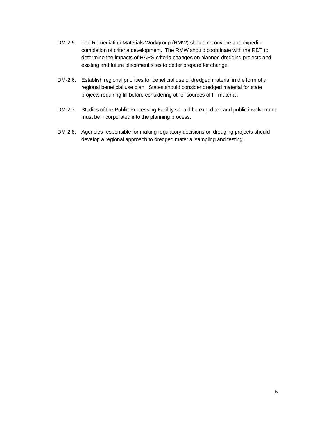- DM-2.5. The Remediation Materials Workgroup (RMW) should reconvene and expedite completion of criteria development. The RMW should coordinate with the RDT to determine the impacts of HARS criteria changes on planned dredging projects and existing and future placement sites to better prepare for change.
- DM-2.6. Establish regional priorities for beneficial use of dredged material in the form of a regional beneficial use plan. States should consider dredged material for state projects requiring fill before considering other sources of fill material.
- DM-2.7. Studies of the Public Processing Facility should be expedited and public involvement must be incorporated into the planning process.
- DM-2.8. Agencies responsible for making regulatory decisions on dredging projects should develop a regional approach to dredged material sampling and testing.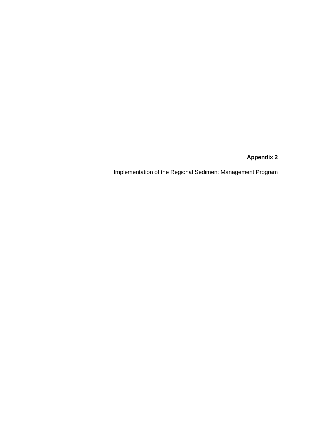**Appendix 2** 

Implementation of the Regional Sediment Management Program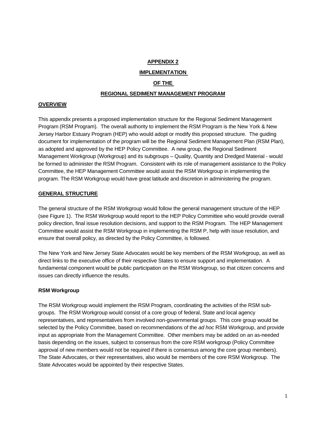# **APPENDIX 2**

### **IMPLEMENTATION**

# **OF THE**

### **REGIONAL SEDIMENT MANAGEMENT PROGRAM**

#### **OVERVIEW**

This appendix presents a proposed implementation structure for the Regional Sediment Management Program (RSM Program). The overall authority to implement the RSM Program is the New York & New Jersey Harbor Estuary Program (HEP) who would adopt or modify this proposed structure. The guiding document for implementation of the program will be the Regional Sediment Management Plan (RSM Plan), as adopted and approved by the HEP Policy Committee. A new group, the Regional Sediment Management Workgroup (Workgroup) and its subgroups – Quality, Quantity and Dredged Material - would be formed to administer the RSM Program. Consistent with its role of management assistance to the Policy Committee, the HEP Management Committee would assist the RSM Workgroup in implementing the program. The RSM Workgroup would have great latitude and discretion in administering the program.

### **GENERAL STRUCTURE**

The general structure of the RSM Workgroup would follow the general management structure of the HEP (see Figure 1). The RSM Workgroup would report to the HEP Policy Committee who would provide overall policy direction, final issue resolution decisions, and support to the RSM Program. The HEP Management Committee would assist the RSM Workgroup in implementing the RSM P, help with issue resolution, and ensure that overall policy, as directed by the Policy Committee, is followed.

The New York and New Jersey State Advocates would be key members of the RSM Workgroup, as well as direct links to the executive office of their respective States to ensure support and implementation. A fundamental component would be public participation on the RSM Workgroup, so that citizen concerns and issues can directly influence the results.

#### **RSM Workgroup**

The RSM Workgroup would implement the RSM Program, coordinating the activities of the RSM subgroups. The RSM Workgroup would consist of a core group of federal, State and local agency representatives, and representatives from involved non-governmental groups. This core group would be selected by the Policy Committee, based on recommendations of the *ad hoc* RSM Workgroup, and provide input as appropriate from the Management Committee. Other members may be added on an as-needed basis depending on the issues, subject to consensus from the core RSM workgroup (Policy Committee approval of new members would not be required if there is consensus among the core group members). The State Advocates, or their representatives, also would be members of the core RSM Workgroup. The State Advocates would be appointed by their respective States.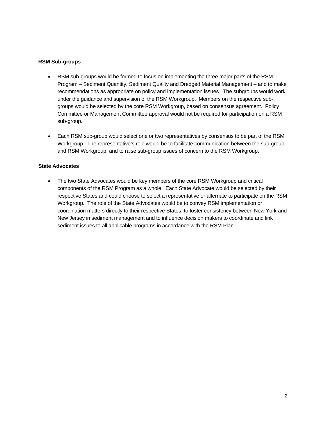# **RSM Sub-groups**

- RSM sub-groups would be formed to focus on implementing the three major parts of the RSM Program – Sediment Quantity, Sediment Quality and Dredged Material Management – and to make recommendations as appropriate on policy and implementation issues. The subgroups would work under the guidance and supervision of the RSM Workgroup. Members on the respective subgroups would be selected by the core RSM Workgroup, based on consensus agreement. Policy Committee or Management Committee approval would not be required for participation on a RSM sub-group.
- Each RSM sub-group would select one or two representatives by consensus to be part of the RSM Workgroup. The representative's role would be to facilitate communication between the sub-group and RSM Workgroup, and to raise sub-group issues of concern to the RSM Workgroup.

# **State Advocates**

• The two State Advocates would be key members of the core RSM Workgroup and critical components of the RSM Program as a whole. Each State Advocate would be selected by their respective States and could choose to select a representative or alternate to participate on the RSM Workgroup. The role of the State Advocates would be to convey RSM implementation or coordination matters directly to their respective States, to foster consistency between New York and New Jersey in sediment management and to influence decision makers to coordinate and link sediment issues to all applicable programs in accordance with the RSM Plan.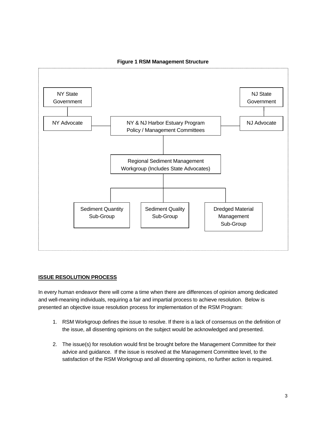

# **Figure 1 RSM Management Structure**

# **ISSUE RESOLUTION PROCESS**

In every human endeavor there will come a time when there are differences of opinion among dedicated and well-meaning individuals, requiring a fair and impartial process to achieve resolution. Below is presented an objective issue resolution process for implementation of the RSM Program:

- 1. RSM Workgroup defines the issue to resolve. If there is a lack of consensus on the definition of the issue, all dissenting opinions on the subject would be acknowledged and presented.
- 2. The issue(s) for resolution would first be brought before the Management Committee for their advice and guidance. If the issue is resolved at the Management Committee level, to the satisfaction of the RSM Workgroup and all dissenting opinions, no further action is required.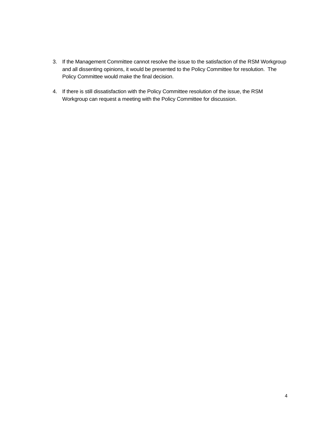- 3. If the Management Committee cannot resolve the issue to the satisfaction of the RSM Workgroup and all dissenting opinions, it would be presented to the Policy Committee for resolution. The Policy Committee would make the final decision.
- 4. If there is still dissatisfaction with the Policy Committee resolution of the issue, the RSM Workgroup can request a meeting with the Policy Committee for discussion.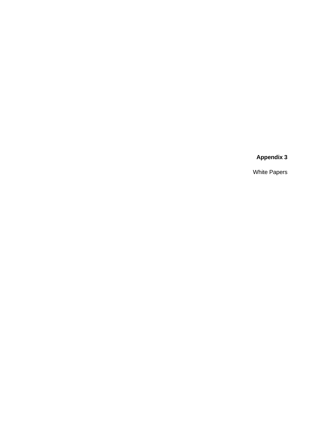# **Appendix 3**

White Papers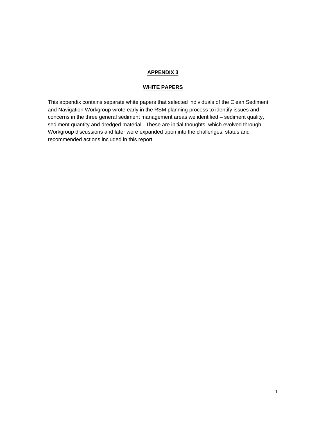# **APPENDIX 3**

# **WHITE PAPERS**

This appendix contains separate white papers that selected individuals of the Clean Sediment and Navigation Workgroup wrote early in the RSM planning process to identify issues and concerns in the three general sediment management areas we identified – sediment quality, sediment quantity and dredged material. These are initial thoughts, which evolved through Workgroup discussions and later were expanded upon into the challenges, status and recommended actions included in this report.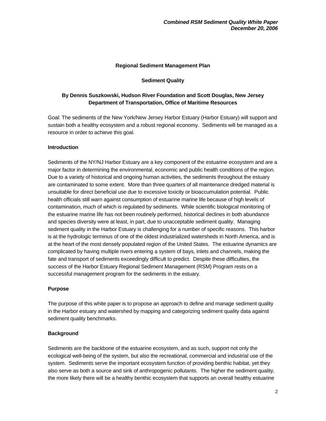### **Regional Sediment Management Plan**

# **Sediment Quality**

# **By Dennis Suszkowski, Hudson River Foundation and Scott Douglas, New Jersey Department of Transportation, Office of Maritime Resources**

Goal: The sediments of the New York/New Jersey Harbor Estuary (Harbor Estuary) will support and sustain both a healthy ecosystem and a robust regional economy. Sediments will be managed as a resource in order to achieve this goal.

# **Introduction**

Sediments of the NY/NJ Harbor Estuary are a key component of the estuarine ecosystem and are a major factor in determining the environmental, economic and public health conditions of the region. Due to a variety of historical and ongoing human activities, the sediments throughout the estuary are contaminated to some extent. More than three quarters of all maintenance dredged material is unsuitable for direct beneficial use due to excessive toxicity or bioaccumulation potential. Public health officials still warn against consumption of estuarine marine life because of high levels of contamination, much of which is regulated by sediments. While scientific biological monitoring of the estuarine marine life has not been routinely performed, historical declines in both abundance and species diversity were at least, in part, due to unacceptable sediment quality. Managing sediment quality in the Harbor Estuary is challenging for a number of specific reasons. This harbor is at the hydrologic terminus of one of the oldest industrialized watersheds in North America, and is at the heart of the most densely populated region of the United States. The estuarine dynamics are complicated by having multiple rivers entering a system of bays, inlets and channels, making the fate and transport of sediments exceedingly difficult to predict. Despite these difficulties, the success of the Harbor Estuary Regional Sediment Management (RSM) Program rests on a successful management program for the sediments in the estuary.

### **Purpose**

The purpose of this white paper is to propose an approach to define and manage sediment quality in the Harbor estuary and watershed by mapping and categorizing sediment quality data against sediment quality benchmarks.

# **Background**

Sediments are the backbone of the estuarine ecosystem, and as such, support not only the ecological well-being of the system, but also the recreational, commercial and industrial use of the system. Sediments serve the important ecosystem function of providing benthic habitat, yet they also serve as both a source and sink of anthropogenic pollutants. The higher the sediment quality, the more likely there will be a healthy benthic ecosystem that supports an overall healthy estuarine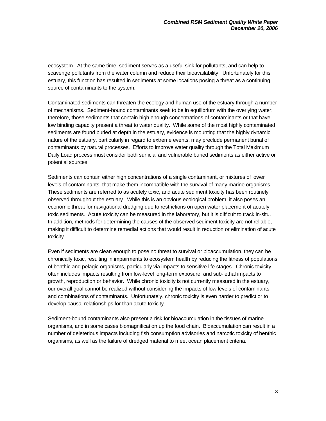ecosystem. At the same time, sediment serves as a useful sink for pollutants, and can help to scavenge pollutants from the water column and reduce their bioavailability. Unfortunately for this estuary, this function has resulted in sediments at some locations posing a threat as a continuing source of contaminants to the system.

Contaminated sediments can threaten the ecology and human use of the estuary through a number of mechanisms. Sediment-bound contaminants seek to be in equilibrium with the overlying water; therefore, those sediments that contain high enough concentrations of contaminants or that have low binding capacity present a threat to water quality. While some of the most highly contaminated sediments are found buried at depth in the estuary, evidence is mounting that the highly dynamic nature of the estuary, particularly in regard to extreme events, may preclude permanent burial of contaminants by natural processes. Efforts to improve water quality through the Total Maximum Daily Load process must consider both surficial and vulnerable buried sediments as either active or potential sources.

Sediments can contain either high concentrations of a single contaminant, or mixtures of lower levels of contaminants, that make them incompatible with the survival of many marine organisms. These sediments are referred to as acutely toxic, and acute sediment toxicity has been routinely observed throughout the estuary. While this is an obvious ecological problem, it also poses an economic threat for navigational dredging due to restrictions on open water placement of acutely toxic sediments. Acute toxicity can be measured in the laboratory, but it is difficult to track in-situ. In addition, methods for determining the causes of the observed sediment toxicity are not reliable, making it difficult to determine remedial actions that would result in reduction or elimination of acute toxicity.

Even if sediments are clean enough to pose no threat to survival or bioaccumulation, they can be chronically toxic, resulting in impairments to ecosystem health by reducing the fitness of populations of benthic and pelagic organisms, particularly via impacts to sensitive life stages. Chronic toxicity often includes impacts resulting from low-level long-term exposure, and sub-lethal impacts to growth, reproduction or behavior. While chronic toxicity is not currently measured in the estuary, our overall goal cannot be realized without considering the impacts of low levels of contaminants and combinations of contaminants. Unfortunately, chronic toxicity is even harder to predict or to develop causal relationships for than acute toxicity.

Sediment-bound contaminants also present a risk for bioaccumulation in the tissues of marine organisms, and in some cases biomagnification up the food chain. Bioaccumulation can result in a number of deleterious impacts including fish consumption advisories and narcotic toxicity of benthic organisms, as well as the failure of dredged material to meet ocean placement criteria.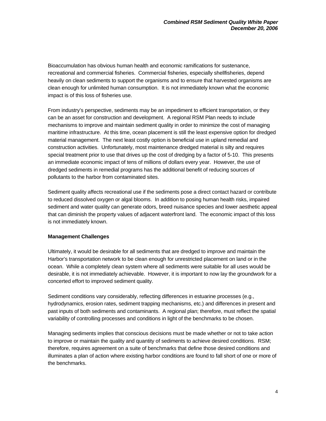Bioaccumulation has obvious human health and economic ramifications for sustenance, recreational and commercial fisheries. Commercial fisheries, especially shellfisheries, depend heavily on clean sediments to support the organisms and to ensure that harvested organisms are clean enough for unlimited human consumption. It is not immediately known what the economic impact is of this loss of fisheries use.

From industry's perspective, sediments may be an impediment to efficient transportation, or they can be an asset for construction and development. A regional RSM Plan needs to include mechanisms to improve and maintain sediment quality in order to minimize the cost of managing maritime infrastructure. At this time, ocean placement is still the least expensive option for dredged material management. The next least costly option is beneficial use in upland remedial and construction activities. Unfortunately, most maintenance dredged material is silty and requires special treatment prior to use that drives up the cost of dredging by a factor of 5-10. This presents an immediate economic impact of tens of millions of dollars every year. However, the use of dredged sediments in remedial programs has the additional benefit of reducing sources of pollutants to the harbor from contaminated sites.

Sediment quality affects recreational use if the sediments pose a direct contact hazard or contribute to reduced dissolved oxygen or algal blooms. In addition to posing human health risks, impaired sediment and water quality can generate odors, breed nuisance species and lower aesthetic appeal that can diminish the property values of adjacent waterfront land. The economic impact of this loss is not immediately known.

# **Management Challenges**

Ultimately, it would be desirable for all sediments that are dredged to improve and maintain the Harbor's transportation network to be clean enough for unrestricted placement on land or in the ocean. While a completely clean system where all sediments were suitable for all uses would be desirable, it is not immediately achievable. However, it is important to now lay the groundwork for a concerted effort to improved sediment quality.

Sediment conditions vary considerably, reflecting differences in estuarine processes (e.g., hydrodynamics, erosion rates, sediment trapping mechanisms, etc.) and differences in present and past inputs of both sediments and contaminants. A regional plan; therefore, must reflect the spatial variability of controlling processes and conditions in light of the benchmarks to be chosen.

Managing sediments implies that conscious decisions must be made whether or not to take action to improve or maintain the quality and quantity of sediments to achieve desired conditions. RSM; therefore, requires agreement on a suite of benchmarks that define those desired conditions and illuminates a plan of action where existing harbor conditions are found to fall short of one or more of the benchmarks.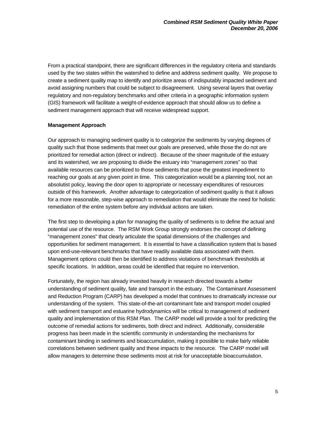From a practical standpoint, there are significant differences in the regulatory criteria and standards used by the two states within the watershed to define and address sediment quality. We propose to create a sediment quality map to identify and prioritize areas of indisputably impacted sediment and avoid assigning numbers that could be subject to disagreement. Using several layers that overlay regulatory and non-regulatory benchmarks and other criteria in a geographic information system (GIS) framework will facilitate a weight-of-evidence approach that should allow us to define a sediment management approach that will receive widespread support.

### **Management Approach**

Our approach to managing sediment quality is to categorize the sediments by varying degrees of quality such that those sediments that meet our goals are preserved, while those the do not are prioritized for remedial action (direct or indirect). Because of the sheer magnitude of the estuary and its watershed, we are proposing to divide the estuary into "management zones" so that available resources can be prioritized to those sediments that pose the greatest impediment to reaching our goals at any given point in time. This categorization would be a planning tool, not an absolutist policy, leaving the door open to appropriate or necessary expenditures of resources outside of this framework. Another advantage to categorization of sediment quality is that it allows for a more reasonable, step-wise approach to remediation that would eliminate the need for holistic remediation of the entire system before any individual actions are taken.

The first step to developing a plan for managing the quality of sediments is to define the actual and potential use of the resource. The RSM Work Group strongly endorses the concept of defining "management zones" that clearly articulate the spatial dimensions of the challenges and opportunities for sediment management. It is essential to have a classification system that is based upon end-use-relevant benchmarks that have readily available data associated with them. Management options could then be identified to address violations of benchmark thresholds at specific locations. In addition, areas could be identified that require no intervention.

Fortunately, the region has already invested heavily in research directed towards a better understanding of sediment quality, fate and transport in the estuary. The Contaminant Assessment and Reduction Program (CARP) has developed a model that continues to dramatically increase our understanding of the system. This state-of-the-art contaminant fate and transport model coupled with sediment transport and estuarine hydrodynamics will be critical to management of sediment quality and implementation of this RSM Plan. The CARP model will provide a tool for predicting the outcome of remedial actions for sediments, both direct and indirect. Additionally, considerable progress has been made in the scientific community in understanding the mechanisms for contaminant binding in sediments and bioaccumulation, making it possible to make fairly reliable correlations between sediment quality and these impacts to the resource. The CARP model will allow managers to determine those sediments most at risk for unacceptable bioaccumulation.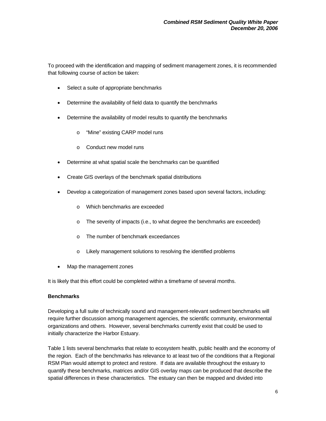To proceed with the identification and mapping of sediment management zones, it is recommended that following course of action be taken:

- Select a suite of appropriate benchmarks
- Determine the availability of field data to quantify the benchmarks
- Determine the availability of model results to quantify the benchmarks
	- o "Mine" existing CARP model runs
	- o Conduct new model runs
- Determine at what spatial scale the benchmarks can be quantified
- Create GIS overlays of the benchmark spatial distributions
- Develop a categorization of management zones based upon several factors, including:
	- o Which benchmarks are exceeded
	- o The severity of impacts (i.e., to what degree the benchmarks are exceeded)
	- o The number of benchmark exceedances
	- o Likely management solutions to resolving the identified problems
- Map the management zones

It is likely that this effort could be completed within a timeframe of several months.

# **Benchmarks**

Developing a full suite of technically sound and management-relevant sediment benchmarks will require further discussion among management agencies, the scientific community, environmental organizations and others. However, several benchmarks currently exist that could be used to initially characterize the Harbor Estuary.

Table 1 lists several benchmarks that relate to ecosystem health, public health and the economy of the region. Each of the benchmarks has relevance to at least two of the conditions that a Regional RSM Plan would attempt to protect and restore. If data are available throughout the estuary to quantify these benchmarks, matrices and/or GIS overlay maps can be produced that describe the spatial differences in these characteristics. The estuary can then be mapped and divided into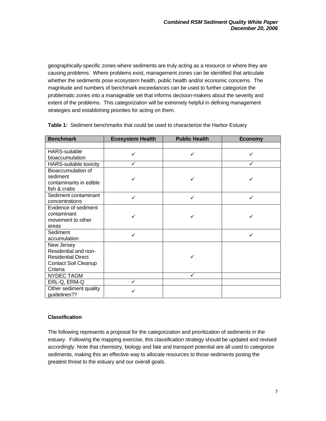geographically-specific zones where sediments are truly acting as a resource or where they are causing problems. Where problems exist, management zones can be identified that articulate whether the sediments pose ecosystem health, public health and/or economic concerns. The magnitude and numbers of benchmark exceedances can be used to further categorize the problematic zones into a manageable set that informs decision-makers about the severity and extent of the problems. This categorization will be extremely helpful in defining management strategies and establishing priorities for acting on them.

| <b>Benchmark</b>                       | <b>Ecosystem Health</b> | <b>Public Health</b> | <b>Economy</b> |  |
|----------------------------------------|-------------------------|----------------------|----------------|--|
|                                        |                         |                      |                |  |
| <b>HARS-suitable</b>                   | ✓                       | $\checkmark$         | ✓              |  |
| bioaccumulation                        |                         |                      |                |  |
| <b>HARS-suitable toxicity</b>          | ✓                       |                      | ✓              |  |
| Bioaccumulation of                     |                         |                      |                |  |
| sediment                               |                         | ✓                    |                |  |
| contaminants in edible                 |                         |                      |                |  |
| fish & crabs                           |                         |                      |                |  |
| Sediment contaminant                   | ✓                       | ✓                    | ✓              |  |
| concentrations                         |                         |                      |                |  |
| Evidence of sediment                   |                         |                      |                |  |
| contaminant                            |                         | ✓                    |                |  |
| movement to other                      |                         |                      |                |  |
| areas                                  |                         |                      |                |  |
| Sediment                               | ✓                       |                      | ✓              |  |
| accumulation                           |                         |                      |                |  |
| New Jersey                             |                         |                      |                |  |
| Residential and non-                   |                         |                      |                |  |
| <b>Residential Direct</b>              |                         | ✓                    |                |  |
| <b>Contact Soil Cleanup</b>            |                         |                      |                |  |
| Criteria                               |                         |                      |                |  |
| <b>NYDEC TAGM</b>                      |                         | $\checkmark$         |                |  |
| ERL-Q, ERM-Q                           | ✓                       |                      |                |  |
| Other sediment quality<br>guidelines?? | ✓                       |                      |                |  |

**Table 1:** Sediment benchmarks that could be used to characterize the Harbor Estuary

# **Classification**

The following represents a proposal for the categorization and prioritization of sediments in the estuary. Following the mapping exercise, this classification strategy should be updated and revised accordingly. Note that chemistry, biology and fate and transport potential are all used to categorize sediments, making this an effective way to allocate resources to those sediments posing the greatest threat to the estuary and our overall goals.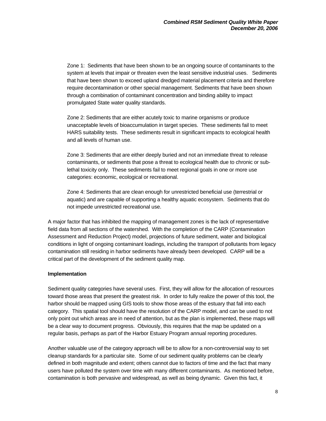Zone 1: Sediments that have been shown to be an ongoing source of contaminants to the system at levels that impair or threaten even the least sensitive industrial uses. Sediments that have been shown to exceed upland dredged material placement criteria and therefore require decontamination or other special management. Sediments that have been shown through a combination of contaminant concentration and binding ability to impact promulgated State water quality standards.

Zone 2: Sediments that are either acutely toxic to marine organisms or produce unacceptable levels of bioaccumulation in target species. These sediments fail to meet HARS suitability tests. These sediments result in significant impacts to ecological health and all levels of human use.

Zone 3: Sediments that are either deeply buried and not an immediate threat to release contaminants, or sediments that pose a threat to ecological health due to chronic or sublethal toxicity only. These sediments fail to meet regional goals in one or more use categories: economic, ecological or recreational.

Zone 4: Sediments that are clean enough for unrestricted beneficial use (terrestrial or aquatic) and are capable of supporting a healthy aquatic ecosystem. Sediments that do not impede unrestricted recreational use.

A major factor that has inhibited the mapping of management zones is the lack of representative field data from all sections of the watershed. With the completion of the CARP (Contamination Assessment and Reduction Project) model, projections of future sediment, water and biological conditions in light of ongoing contaminant loadings, including the transport of pollutants from legacy contamination still residing in harbor sediments have already been developed. CARP will be a critical part of the development of the sediment quality map.

### **Implementation**

Sediment quality categories have several uses. First, they will allow for the allocation of resources toward those areas that present the greatest risk. In order to fully realize the power of this tool, the harbor should be mapped using GIS tools to show those areas of the estuary that fall into each category. This spatial tool should have the resolution of the CARP model, and can be used to not only point out which areas are in need of attention, but as the plan is implemented, these maps will be a clear way to document progress. Obviously, this requires that the map be updated on a regular basis, perhaps as part of the Harbor Estuary Program annual reporting procedures.

Another valuable use of the category approach will be to allow for a non-controversial way to set cleanup standards for a particular site. Some of our sediment quality problems can be clearly defined in both magnitude and extent; others cannot due to factors of time and the fact that many users have polluted the system over time with many different contaminants. As mentioned before, contamination is both pervasive and widespread, as well as being dynamic. Given this fact, it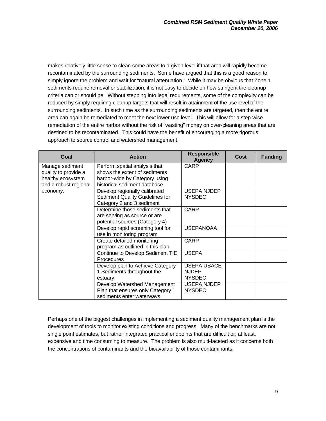makes relatively little sense to clean some areas to a given level if that area will rapidly become recontaminated by the surrounding sediments. Some have argued that this is a good reason to simply ignore the problem and wait for "natural attenuation." While it may be obvious that Zone 1 sediments require removal or stabilization, it is not easy to decide on how stringent the cleanup criteria can or should be. Without stepping into legal requirements, some of the complexity can be reduced by simply requiring cleanup targets that will result in attainment of the use level of the surrounding sediments. In such time as the surrounding sediments are targeted, then the entire area can again be remediated to meet the next lower use level. This will allow for a step-wise remediation of the entire harbor without the risk of "wasting" money on over-cleaning areas that are destined to be recontaminated. This could have the benefit of encouraging a more rigorous approach to source control and watershed management.

| Goal                                                                                              | <b>Action</b>                                                                                                                   | <b>Responsible</b><br><b>Agency</b>                 | <b>Cost</b> | <b>Funding</b> |
|---------------------------------------------------------------------------------------------------|---------------------------------------------------------------------------------------------------------------------------------|-----------------------------------------------------|-------------|----------------|
| Manage sediment<br>quality to provide a<br>healthy ecosystem<br>and a robust regional<br>economy. | Perform spatial analysis that<br>shows the extent of sediments<br>harbor-wide by Category using<br>historical sediment database | <b>CARP</b>                                         |             |                |
|                                                                                                   | Develop regionally calibrated<br>Sediment Quality Guidelines for<br>Category 2 and 3 sediment                                   | <b>USEPA NJDEP</b><br><b>NYSDEC</b>                 |             |                |
|                                                                                                   | Determine those sediments that<br>are serving as source or are<br>potential sources (Category 4)                                | <b>CARP</b>                                         |             |                |
|                                                                                                   | Develop rapid screening tool for<br>use in monitoring program                                                                   | <b>USEPANOAA</b>                                    |             |                |
|                                                                                                   | Create detailed monitoring<br>program as outlined in this plan                                                                  | <b>CARP</b>                                         |             |                |
|                                                                                                   | Continue to Develop Sediment TIE<br>Procedures                                                                                  | <b>USEPA</b>                                        |             |                |
|                                                                                                   | Develop plan to Achieve Category<br>1 Sediments throughout the<br>estuary                                                       | <b>USEPA USACE</b><br><b>NJDEP</b><br><b>NYSDEC</b> |             |                |
|                                                                                                   | Develop Watershed Management<br>Plan that ensures only Category 1<br>sediments enter waterways                                  | <b>USEPA NJDEP</b><br><b>NYSDEC</b>                 |             |                |

Perhaps one of the biggest challenges in implementing a sediment quality management plan is the development of tools to monitor existing conditions and progress. Many of the benchmarks are not single point estimates, but rather integrated practical endpoints that are difficult or, at least, expensive and time consuming to measure. The problem is also multi-faceted as it concerns both the concentrations of contaminants and the bioavailability of those contaminants.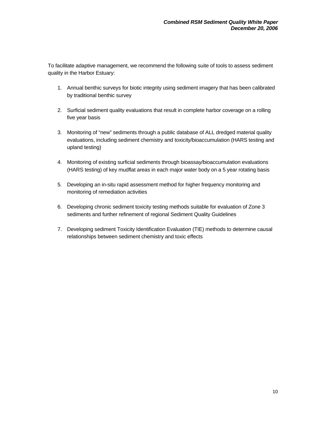To facilitate adaptive management, we recommend the following suite of tools to assess sediment quality in the Harbor Estuary:

- 1. Annual benthic surveys for biotic integrity using sediment imagery that has been calibrated by traditional benthic survey
- 2. Surficial sediment quality evaluations that result in complete harbor coverage on a rolling five year basis
- 3. Monitoring of "new" sediments through a public database of ALL dredged material quality evaluations, including sediment chemistry and toxicity/bioaccumulation (HARS testing and upland testing)
- 4. Monitoring of existing surficial sediments through bioassay/bioaccumulation evaluations (HARS testing) of key mudflat areas in each major water body on a 5 year rotating basis
- 5. Developing an in-situ rapid assessment method for higher frequency monitoring and monitoring of remediation activities
- 6. Developing chronic sediment toxicity testing methods suitable for evaluation of Zone 3 sediments and further refinement of regional Sediment Quality Guidelines
- 7. Developing sediment Toxicity Identification Evaluation (TIE) methods to determine causal relationships between sediment chemistry and toxic effects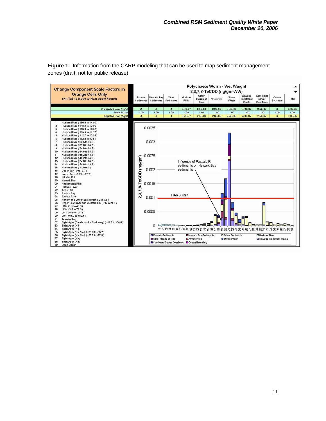

**Figure 1:** Information from the CARP modeling that can be used to map sediment management zones (draft, not for public release)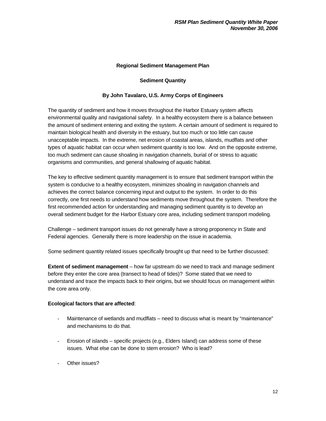# **Regional Sediment Management Plan**

# **Sediment Quantity**

# **By John Tavalaro, U.S. Army Corps of Engineers**

The quantity of sediment and how it moves throughout the Harbor Estuary system affects environmental quality and navigational safety. In a healthy ecosystem there is a balance between the amount of sediment entering and exiting the system. A certain amount of sediment is required to maintain biological health and diversity in the estuary, but too much or too little can cause unacceptable impacts. In the extreme, net erosion of coastal areas, islands, mudflats and other types of aquatic habitat can occur when sediment quantity is too low. And on the opposite extreme, too much sediment can cause shoaling in navigation channels, burial of or stress to aquatic organisms and communities, and general shallowing of aquatic habitat.

The key to effective sediment quantity management is to ensure that sediment transport within the system is conducive to a healthy ecosystem, minimizes shoaling in navigation channels and achieves the correct balance concerning input and output to the system. In order to do this correctly, one first needs to understand how sediments move throughout the system. Therefore the first recommended action for understanding and managing sediment quantity is to develop an overall sediment budget for the Harbor Estuary core area, including sediment transport modeling.

Challenge – sediment transport issues do not generally have a strong proponency in State and Federal agencies. Generally there is more leadership on the issue in academia.

Some sediment quantity related issues specifically brought up that need to be further discussed:

**Extent of sediment management** – how far upstream do we need to track and manage sediment before they enter the core area (transect to head of tides)? Some stated that we need to understand and trace the impacts back to their origins, but we should focus on management within the core area only.

### **Ecological factors that are affected**:

- Maintenance of wetlands and mudflats need to discuss what is meant by "maintenance" and mechanisms to do that.
- Erosion of islands specific projects (e.g., Elders Island) can address some of these issues. What else can be done to stem erosion? Who is lead?
- Other issues?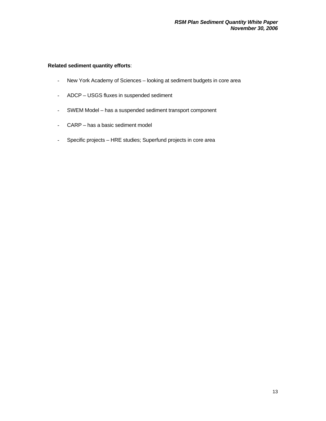# **Related sediment quantity efforts**:

- New York Academy of Sciences looking at sediment budgets in core area
- ADCP USGS fluxes in suspended sediment
- SWEM Model has a suspended sediment transport component
- CARP has a basic sediment model
- Specific projects HRE studies; Superfund projects in core area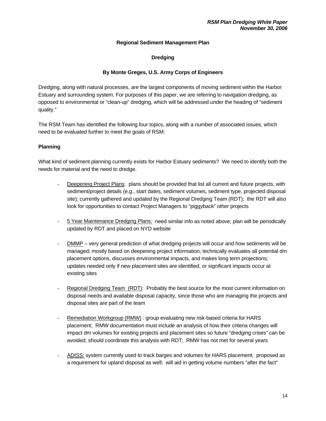# **Regional Sediment Management Plan**

# **Dredging**

# **By Monte Greges, U.S. Army Corps of Engineers**

Dredging, along with natural processes, are the largest components of moving sediment within the Harbor Estuary and surrounding system. For purposes of this paper, we are referring to navigation dredging, as opposed to environmental or "clean-up" dredging, which will be addressed under the heading of "sediment quality."

The RSM Team has identified the following four topics, along with a number of associated issues, which need to be evaluated further to meet the goals of RSM:

# **Planning**

What kind of sediment planning currently exists for Harbor Estuary sediments? We need to identify both the needs for material and the need to dredge.

- Deepening Project Plans: plans should be provided that list all current and future projects, with sediment/project details (e.g., start dates, sediment volumes, sediment type, projected disposal site); currently gathered and updated by the Regional Dredging Team (RDT); the RDT will also look for opportunities to contact Project Managers to "piggyback" other projects
- 5 Year Maintenance Dredging Plans: need similar info as noted above; plan will be periodically updated by RDT and placed on NYD website
- DMMP very general prediction of what dredging projects will occur and how sediments will be managed; mostly based on deepening project information; technically evaluates all potential dm placement options, discusses environmental impacts, and makes long term projections; updates needed only if new placement sites are identified, or significant impacts occur at existing sites
- Regional Dredging Team (RDT): Probably the best source for the most current information on disposal needs and available disposal capacity, since those who are managing the projects and disposal sites are part of the team
- Remediation Workgroup (RMW) : group evaluating new risk-based criteria for HARS placement; RMW documentation must include an analysis of how their criteria changes will impact dm volumes for existing projects and placement sites so future "dredging crises" can be avoided; should coordinate this analysis with RDT; RMW has not met for several years
- ADISS: system currently used to track barges and volumes for HARS placement; proposed as a requirement for upland disposal as well; will aid in getting volume numbers "after the fact"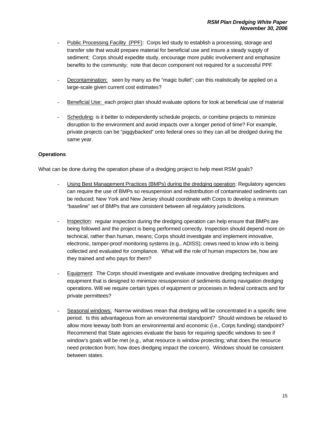- Public Processing Facility (PPF): Corps led study to establish a processing, storage and transfer site that would prepare material for beneficial use and insure a steady supply of sediment; Corps should expedite study, encourage more public involvement and emphasize benefits to the community; note that decon component not required for a successful PPF
- Decontamination: seen by many as the "magic bullet"; can this realistically be applied on a large-scale given current cost estimates?
- Beneficial Use: each project plan should evaluate options for look at beneficial use of material
- Scheduling: is it better to independently schedule projects, or combine projects to minimize disruption to the environment and avoid impacts over a longer period of time? For example, private projects can be "piggybacked" onto federal ones so they can all be dredged during the same year.

#### **Operations**

What can be done during the operation phase of a dredging project to help meet RSM goals?

- Using Best Management Practices (BMPs) during the dredging operation: Regulatory agencies can require the use of BMPs so resuspension and redistribution of contaminated sediments can be reduced; New York and New Jersey should coordinate with Corps to develop a minimum "baseline" set of BMPs that are consistent between all regulatory jurisdictions.
- Inspection: regular inspection during the dredging operation can help ensure that BMPs are being followed and the project is being performed correctly. Inspection should depend more on technical, rather than human, means; Corps should investigate and implement innovative, electronic, tamper-proof monitoring systems (e.g., ADISS); crews need to know info is being collected and evaluated for compliance. What will the role of human inspectors be, how are they trained and who pays for them?
- Equipment: The Corps should investigate and evaluate innovative dredging techniques and equipment that is designed to minimize resuspension of sediments during navigation dredging operations. Will we require certain types of equipment or processes in federal contracts and for private permittees?
- Seasonal windows: Narrow windows mean that dredging will be concentrated in a specific time period. Is this advantageous from an environmental standpoint? Should windows be relaxed to allow more leeway both from an environmental and economic (i.e., Corps funding) standpoint? Recommend that State agencies evaluate the basis for requiring specific windows to see if window's goals will be met (e.g., what resource is window protecting; what does the resource need protection from; how does dredging impact the concern). Windows should be consistent between states.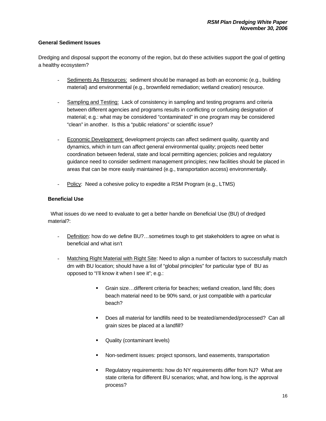#### **General Sediment Issues**

Dredging and disposal support the economy of the region, but do these activities support the goal of getting a healthy ecosystem?

- Sediments As Resources: sediment should be managed as both an economic (e.g., building material) and environmental (e.g., brownfield remediation; wetland creation) resource.
- Sampling and Testing: Lack of consistency in sampling and testing programs and criteria between different agencies and programs results in conflicting or confusing designation of material; e.g.: what may be considered "contaminated" in one program may be considered "clean" in another. Is this a "public relations" or scientific issue?
- Economic Development: development projects can affect sediment quality, quantity and dynamics, which in turn can affect general environmental quality; projects need better coordination between federal, state and local permitting agencies; policies and regulatory guidance need to consider sediment management principles; new facilities should be placed in areas that can be more easily maintained (e.g., transportation access) environmentally.
- Policy: Need a cohesive policy to expedite a RSM Program (e.g., LTMS)

#### **Beneficial Use**

 What issues do we need to evaluate to get a better handle on Beneficial Use (BU) of dredged material?:

- Definition: how do we define BU?...sometimes tough to get stakeholders to agree on what is beneficial and what isn't
- Matching Right Material with Right Site: Need to align a number of factors to successfully match dm with BU location; should have a list of "global principles" for particular type of BU as opposed to "I'll know it when I see it"; e.g.:
	- Grain size…different criteria for beaches; wetland creation, land fills; does beach material need to be 90% sand, or just compatible with a particular beach?
	- Does all material for landfills need to be treated/amended/processed? Can all grain sizes be placed at a landfill?
	- **Quality (contaminant levels)**
	- Non-sediment issues: project sponsors, land easements, transportation
	- Regulatory requirements: how do NY requirements differ from NJ? What are state criteria for different BU scenarios; what, and how long, is the approval process?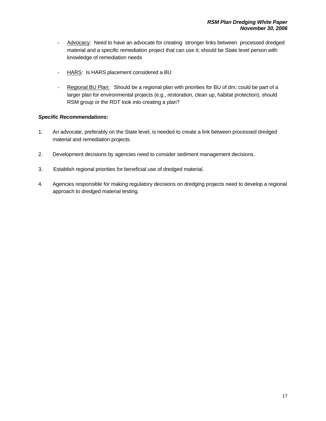- Advocacy: Need to have an advocate for creating stronger links between processed dredged material and a specific remediation project that can use it; should be State level person with knowledge of remediation needs
- HARS: Is HARS placement considered a BU
- Regional BU Plan: Should be a regional plan with priorities for BU of dm; could be part of a larger plan for environmental projects (e.g., restoration, clean up, habitat protection); should RSM group or the RDT look into creating a plan?

#### *Specific Recommendations:*

- 1. An advocate, preferably on the State level, is needed to create a link between processed dredged material and remediation projects.
- 2. Development decisions by agencies need to consider sediment management decisions.
- 3. Establish regional priorities for beneficial use of dredged material.
- 4. Agencies responsible for making regulatory decisions on dredging projects need to develop a regional approach to dredged material testing.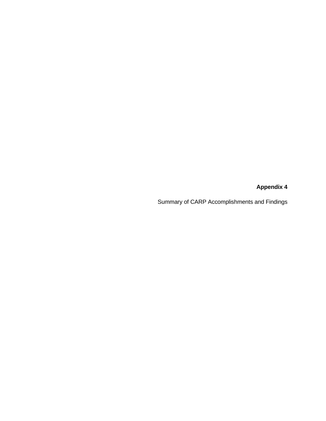**Appendix 4** 

Summary of CARP Accomplishments and Findings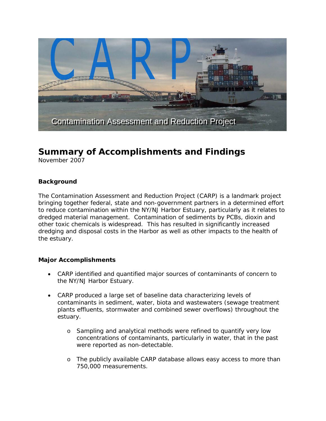

# **Summary of Accomplishments and Findings**

November 2007

#### **Background**

The *Contamination Assessment and Reduction Project (CARP)* is a landmark project bringing together federal, state and non-government partners in a determined effort to reduce contamination within the NY/NJ Harbor Estuary, particularly as it relates to dredged material management. Contamination of sediments by PCBs, dioxin and other toxic chemicals is widespread. This has resulted in significantly increased dredging and disposal costs in the Harbor as well as other impacts to the health of the estuary.

#### **Major Accomplishments**

- CARP identified and quantified major sources of contaminants of concern to the NY/NJ Harbor Estuary.
- CARP produced a large set of baseline data characterizing levels of contaminants in sediment, water, biota and wastewaters (sewage treatment plants effluents, stormwater and combined sewer overflows) throughout the estuary.
	- o Sampling and analytical methods were refined to quantify very low concentrations of contaminants, particularly in water, that in the past were reported as non-detectable.
	- o The publicly available CARP database allows easy access to more than 750,000 measurements.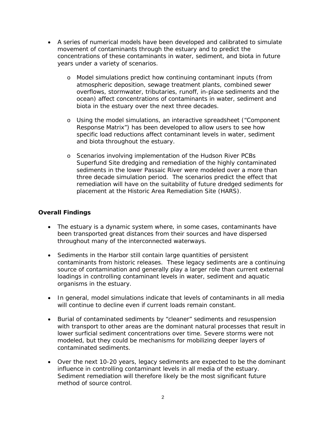- A series of numerical models have been developed and calibrated to simulate movement of contaminants through the estuary and to predict the concentrations of these contaminants in water, sediment, and biota in future years under a variety of scenarios.
	- o Model simulations predict how continuing contaminant inputs (from atmospheric deposition, sewage treatment plants, combined sewer overflows, stormwater, tributaries, runoff, in-place sediments and the ocean) affect concentrations of contaminants in water, sediment and biota in the estuary over the next three decades.
	- o Using the model simulations, an interactive spreadsheet ("Component Response Matrix") has been developed to allow users to see how specific load reductions affect contaminant levels in water, sediment and biota throughout the estuary.
	- o Scenarios involving implementation of the Hudson River PCBs Superfund Site dredging and remediation of the highly contaminated sediments in the lower Passaic River were modeled over a more than three decade simulation period. The scenarios predict the effect that remediation will have on the suitability of future dredged sediments for placement at the Historic Area Remediation Site (HARS).

## **Overall Findings**

- The estuary is a dynamic system where, in some cases, contaminants have been transported great distances from their sources and have dispersed throughout many of the interconnected waterways.
- Sediments in the Harbor still contain large quantities of persistent contaminants from historic releases. These legacy sediments are a continuing source of contamination and generally play a larger role than current external loadings in controlling contaminant levels in water, sediment and aquatic organisms in the estuary.
- In general, model simulations indicate that levels of contaminants in all media will continue to decline even if current loads remain constant.
- Burial of contaminated sediments by "cleaner" sediments and resuspension with transport to other areas are the dominant natural processes that result in lower surficial sediment concentrations over time. Severe storms were not modeled, but they could be mechanisms for mobilizing deeper layers of contaminated sediments.
- Over the next 10-20 years, legacy sediments are expected to be the dominant influence in controlling contaminant levels in all media of the estuary. Sediment remediation will therefore likely be the most significant future method of source control.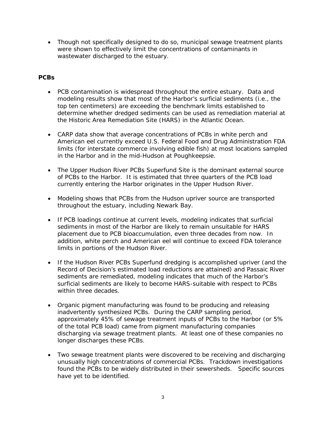• Though not specifically designed to do so, municipal sewage treatment plants were shown to effectively limit the concentrations of contaminants in wastewater discharged to the estuary.

## **PCBs**

- PCB contamination is widespread throughout the entire estuary. Data and modeling results show that most of the Harbor's surficial sediments (i.e., the top ten centimeters) are exceeding the benchmark limits established to determine whether dredged sediments can be used as remediation material at the Historic Area Remediation Site (HARS) in the Atlantic Ocean.
- CARP data show that average concentrations of PCBs in white perch and American eel currently exceed U.S. Federal Food and Drug Administration FDA limits (for interstate commerce involving edible fish) at most locations sampled in the Harbor and in the mid-Hudson at Poughkeepsie.
- The Upper Hudson River PCBs Superfund Site is the dominant external source of PCBs to the Harbor. It is estimated that three quarters of the PCB load currently entering the Harbor originates in the Upper Hudson River.
- Modeling shows that PCBs from the Hudson upriver source are transported throughout the estuary, including Newark Bay.
- If PCB loadings continue at current levels, modeling indicates that surficial sediments in most of the Harbor are likely to remain unsuitable for HARS placement due to PCB bioaccumulation, even three decades from now. In addition, white perch and American eel will continue to exceed FDA tolerance limits in portions of the Hudson River.
- If the Hudson River PCBs Superfund dredging is accomplished upriver (and the Record of Decision's estimated load reductions are attained) and Passaic River sediments are remediated, modeling indicates that much of the Harbor's surficial sediments are likely to become HARS-suitable with respect to PCBs within three decades.
- Organic pigment manufacturing was found to be producing and releasing inadvertently synthesized PCBs. During the CARP sampling period, approximately 45% of sewage treatment inputs of PCBs to the Harbor (or 5% of the total PCB load) came from pigment manufacturing companies discharging via sewage treatment plants. At least one of these companies no longer discharges these PCBs.
- Two sewage treatment plants were discovered to be receiving and discharging unusually high concentrations of commercial PCBs. Trackdown investigations found the PCBs to be widely distributed in their sewersheds. Specific sources have yet to be identified.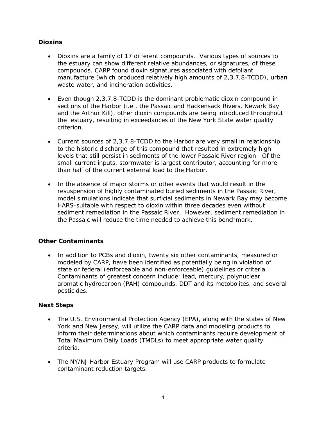## **Dioxins**

- Dioxins are a family of 17 different compounds. Various types of sources to the estuary can show different relative abundances, or signatures, of these compounds. CARP found dioxin signatures associated with defoliant manufacture (which produced relatively high amounts of 2,3,7,8-TCDD), urban waste water, and incineration activities.
- Even though 2,3,7,8-TCDD is the dominant problematic dioxin compound in sections of the Harbor (i.e., the Passaic and Hackensack Rivers, Newark Bay and the Arthur Kill), other dioxin compounds are being introduced throughout the estuary, resulting in exceedances of the New York State water quality criterion.
- Current sources of 2,3,7,8-TCDD to the Harbor are very small in relationship to the historic discharge of this compound that resulted in extremely high levels that still persist in sediments of the lower Passaic River region Of the small current inputs, stormwater is largest contributor, accounting for more than half of the current external load to the Harbor.
- In the absence of major storms or other events that would result in the resuspension of highly contaminated buried sediments in the Passaic River, model simulations indicate that surficial sediments in Newark Bay may become HARS-suitable with respect to dioxin within three decades even without sediment remediation in the Passaic River. However, sediment remediation in the Passaic will reduce the time needed to achieve this benchmark.

## **Other Contaminants**

• In addition to PCBs and dioxin, twenty six other contaminants, measured or modeled by CARP, have been identified as potentially being in violation of state or federal (enforceable and non-enforceable) guidelines or criteria. Contaminants of greatest concern include: lead, mercury, polynuclear aromatic hydrocarbon (PAH) compounds, DDT and its metobolites, and several pesticides.

## **Next Steps**

- The U.S. Environmental Protection Agency (EPA), along with the states of New York and New Jersey, will utilize the CARP data and modeling products to inform their determinations about which contaminants require development of Total Maximum Daily Loads (TMDLs) to meet appropriate water quality criteria.
- The NY/NJ Harbor Estuary Program will use CARP products to formulate contaminant reduction targets.